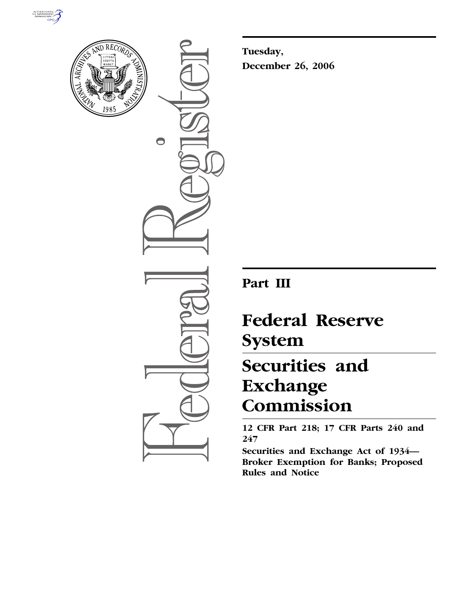



 $\bullet$ 

**Tuesday, December 26, 2006** 

# **Part III**

# **Federal Reserve System Securities and Exchange Commission**

**12 CFR Part 218; 17 CFR Parts 240 and 247** 

**Securities and Exchange Act of 1934— Broker Exemption for Banks; Proposed Rules and Notice**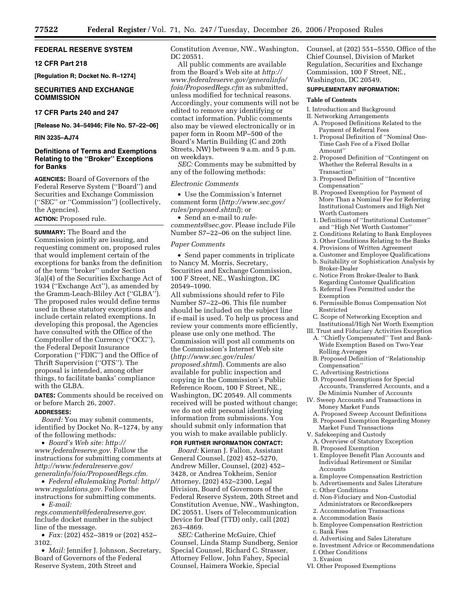## **FEDERAL RESERVE SYSTEM**

## **12 CFR Part 218**

**[Regulation R; Docket No. R–1274]** 

## **SECURITIES AND EXCHANGE COMMISSION**

## **17 CFR Parts 240 and 247**

**[Release No. 34–54946; File No. S7–22–06]** 

#### **RIN 3235–AJ74**

## **Definitions of Terms and Exemptions Relating to the ''Broker'' Exceptions for Banks**

**AGENCIES:** Board of Governors of the Federal Reserve System (''Board'') and Securities and Exchange Commission (''SEC'' or ''Commission'') (collectively, the Agencies).

#### **ACTION:** Proposed rule.

**SUMMARY:** The Board and the Commission jointly are issuing, and requesting comment on, proposed rules that would implement certain of the exceptions for banks from the definition of the term ''broker'' under Section 3(a)(4) of the Securities Exchange Act of 1934 (''Exchange Act''), as amended by the Gramm-Leach-Bliley Act (''GLBA''). The proposed rules would define terms used in these statutory exceptions and include certain related exemptions. In developing this proposal, the Agencies have consulted with the Office of the Comptroller of the Currency (''OCC''), the Federal Deposit Insurance Corporation (''FDIC'') and the Office of Thrift Supervision (''OTS''). The proposal is intended, among other things, to facilitate banks' compliance with the GLBA.

**DATES:** Comments should be received on or before March 26, 2007.

#### **ADDRESSES:**

*Board:* You may submit comments, identified by Docket No. R–1274, by any of the following methods:

• *Board's Web site: http:// www.federalreserve.gov.* Follow the instructions for submitting comments at *http://www.federalreserve.gov/ generalinfo/foia/ProposedRegs.cfm.* 

• *Federal eRulemaking Portal: http// www.regulations.gov.* Follow the instructions for submitting comments.

• *E-mail:* 

*regs.comments@federalreserve.gov.*  Include docket number in the subject line of the message.

• *Fax:* (202) 452–3819 or (202) 452– 3102.

• *Mail:* Jennifer J. Johnson, Secretary, Board of Governors of the Federal Reserve System, 20th Street and

Constitution Avenue, NW., Washington, DC 20551.

All public comments are available from the Board's Web site at *http:// www.federalreserve.gov/generalinfo/ foia/ProposedRegs.cfm* as submitted, unless modified for technical reasons. Accordingly, your comments will not be edited to remove any identifying or contact information. Public comments also may be viewed electronically or in paper form in Room MP–500 of the Board's Martin Building (C and 20th Streets, NW) between 9 a.m. and 5 p.m. on weekdays.

*SEC:* Comments may be submitted by any of the following methods:

#### *Electronic Comments*

• Use the Commission's Internet comment form (*http://www.sec.gov/ rules/proposed.shtml*); or • Send an e-mail to *rule-*

*comments@sec.gov.* Please include File Number S7–22–06 on the subject line.

#### *Paper Comments*

• Send paper comments in triplicate to Nancy M. Morris, Secretary, Securities and Exchange Commission, 100 F Street, NE., Washington, DC 20549–1090.

All submissions should refer to File Number S7–22–06. This file number should be included on the subject line if e-mail is used. To help us process and review your comments more efficiently, please use only one method. The Commission will post all comments on the Commission's Internet Web site (*http://www.sec.gov/rules/ proposed.shtml*). Comments are also available for public inspection and copying in the Commission's Public Reference Room, 100 F Street, NE., Washington, DC 20549. All comments received will be posted without change; we do not edit personal identifying information from submissions. You should submit only information that you wish to make available publicly.

#### **FOR FURTHER INFORMATION CONTACT:**

*Board:* Kieran J. Fallon, Assistant General Counsel, (202) 452–5270, Andrew Miller, Counsel, (202) 452– 3428, or Andrea Tokheim, Senior Attorney, (202) 452–2300, Legal Division, Board of Governors of the Federal Reserve System, 20th Street and Constitution Avenue, NW., Washington, DC 20551. Users of Telecommunication Device for Deaf (TTD) only, call (202) 263–4869.

*SEC:* Catherine McGuire, Chief Counsel, Linda Stamp Sundberg, Senior Special Counsel, Richard C. Strasser, Attorney Fellow, John Fahey, Special Counsel, Haimera Workie, Special

Counsel, at (202) 551–5550, Office of the Chief Counsel, Division of Market Regulation, Securities and Exchange Commission, 100 F Street, NE., Washington, DC 20549.

## **SUPPLEMENTARY INFORMATION:**

## **Table of Contents**

I. Introduction and Background

- II. Networking Arrangements
	- A. Proposed Definitions Related to the Payment of Referral Fees
	- 1. Proposal Definition of ''Nominal One-Time Cash Fee of a Fixed Dollar Amount''
	- 2. Proposed Definition of ''Contingent on Whether the Referral Results in a Transaction''
	- 3. Proposed Definition of ''Incentive Compensation''
	- B. Proposed Exemption for Payment of More Than a Nominal Fee for Referring Institutional Customers and High Net Worth Customers
	- 1. Definitions of ''Institutional Customer'' and ''High Net Worth Customer''
	- 2. Conditions Relating to Bank Employees
	- 3. Other Conditions Relating to the Banks
	- 4. Provisions of Written Agreement
	- a. Customer and Employee Qualifications
	- b. Suitability or Sophistication Analysis by Broker-Dealer
	- c. Notice From Broker-Dealer to Bank Regarding Customer Qualification
	- 5. Referral Fees Permitted under the Exemption
	- 6. Permissible Bonus Compensation Not Restricted
	- C. Scope of Networking Exception and Institutional/High Net Worth Exemption
- III. Trust and Fiduciary Activities Exception A. "Chiefly Compensated" Test and Bank-Wide Exemption Based on Two-Year Rolling Averages
	- B. Proposed Definition of ''Relationship Compensation''
	- C. Advertising Restrictions
	- D. Proposed Exemptions for Special Accounts, Transferred Accounts, and a De Minimis Number of Accounts
- IV. Sweep Accounts and Transactions in Money Market Funds
	- A. Proposed Sweep Account Definitions
- B. Proposed Exemption Regarding Money Market Fund Transactions
- V. Safekeeping and Custody
	- A. Overview of Statutory Exception
	- B. Proposed Exemption
	- 1. Employee Benefit Plan Accounts and Individual Retirement or Similar Accounts
	- a. Employee Compensation Restriction
- b. Advertisements and Sales Literature
- c. Other Conditions
- d. Non-Fiduciary and Non-Custodial Administrators or Recordkeepers
- 2. Accommodation Transactions
- a. Accommodation Basis
- b. Employee Compensation Restriction
- c. Bank Fees
- d. Advertising and Sales Literature
- e. Investment Advice or Recommendations
- f. Other Conditions
- 3. Evasion
- VI. Other Proposed Exemptions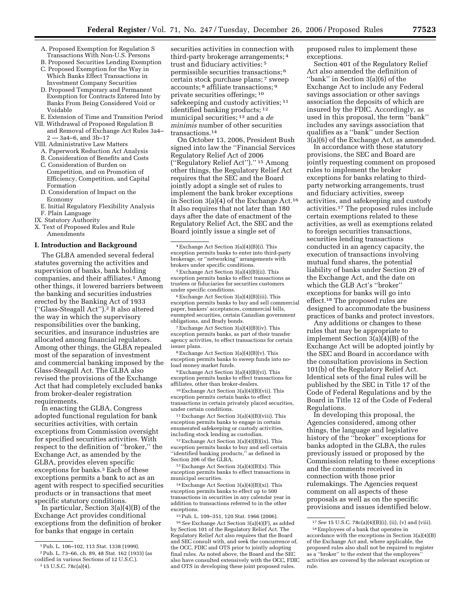- A. Proposed Exemption for Regulation S Transactions With Non-U.S. Persons
- B. Proposed Securities Lending Exemption C. Proposed Exemption for the Way in
- Which Banks Effect Transactions in Investment Company Securities D. Proposed Temporary and Permanent
- Exemption for Contracts Entered Into by Banks From Being Considered Void or Voidable
- E. Extension of Time and Transition Period
- VII. Withdrawal of Proposed Regulation B and Removal of Exchange Act Rules 3a4–  $2 - 3a4 - 6$ , and  $3b - 17$
- VIII. Administrative Law Matters
	- A. Paperwork Reduction Act Analysis
	- B. Consideration of Benefits and Costs
	- C. Consideration of Burden on Competition, and on Promotion of Efficiency, Competition, and Capital Formation
	- D. Consideration of Impact on the Economy
	- E. Initial Regulatory Flexibility Analysis
- F. Plain Language
- IX. Statutory Authority
- X. Text of Proposed Rules and Rule Amendments

#### **I. Introduction and Background**

The GLBA amended several federal statutes governing the activities and supervision of banks, bank holding companies, and their affiliates.<sup>1</sup> Among other things, it lowered barriers between the banking and securities industries erected by the Banking Act of 1933 (''Glass-Steagall Act'').2 It also altered the way in which the supervisory responsibilities over the banking, securities, and insurance industries are allocated among financial regulators. Among other things, the GLBA repealed most of the separation of investment and commercial banking imposed by the Glass-Steagall Act. The GLBA also revised the provisions of the Exchange Act that had completely excluded banks from broker-dealer registration requirements.

In enacting the GLBA, Congress adopted functional regulation for bank securities activities, with certain exceptions from Commission oversight for specified securities activities. With respect to the definition of ''broker,'' the Exchange Act, as amended by the GLBA, provides eleven specific exceptions for banks.3 Each of these exceptions permits a bank to act as an agent with respect to specified securities products or in transactions that meet specific statutory conditions.

In particular, Section 3(a)(4)(B) of the Exchange Act provides conditional exceptions from the definition of broker for banks that engage in certain

securities activities in connection with third-party brokerage arrangements; 4 trust and fiduciary activities; 5 permissible securities transactions; 6 certain stock purchase plans; 7 sweep accounts; 8 affiliate transactions; 9 private securities offerings; 10 safekeeping and custody activities; <sup>11</sup> identified banking products; 12 municipal securities; 13 and a *de minimis* number of other securities transactions.14

On October 13, 2006, President Bush signed into law the ''Financial Services Regulatory Relief Act of 2006 (''Regulatory Relief Act'').'' 15 Among other things, the Regulatory Relief Act requires that the SEC and the Board jointly adopt a single set of rules to implement the bank broker exceptions in Section  $3(a)(4)$  of the Exchange Act.<sup>16</sup> It also requires that not later than 180 days after the date of enactment of the Regulatory Relief Act, the SEC and the Board jointly issue a single set of

4Exchange Act Section 3(a)(4)(B)(i). This exception permits banks to enter into third-party brokerage, or ''networking'' arrangements with brokers under specific conditions.

5Exchange Act Section 3(a)(4)(B)(ii). This exception permits banks to effect transactions as trustees or fiduciaries for securities customers under specific conditions.

 $6$  Exchange Act Section 3(a)(4)(B)(iii). This exception permits banks to buy and sell commercial paper, bankers' acceptances, commercial bills, exempted securities, certain Canadian government obligations, and Brady bonds.

7Exchange Act Section 3(a)(4)(B)(iv). This exception permits banks, as part of their transfer agency activities, to effect transactions for certain issuer plans.

8Exchange Act Section 3(a)(4)(B)(v). This exception permits banks to sweep funds into noload money market funds.

9Exchange Act Section 3(a)(4)(B)(vi). This exception permits banks to effect transactions for affiliates, other than broker-dealers.

10Exchange Act Section 3(a)(4)(B)(vii). This exception permits certain banks to effect transactions in certain privately placed securities, under certain conditions.

11Exchange Act Section 3(a)(4)(B)(viii). This exception permits banks to engage in certain enumerated safekeeping or custody activities, including stock lending as custodian.

12Exchange Act Section 3(a)(4)(B)(ix). This exception permits banks to buy and sell certain ''identified banking products,'' as defined in Section 206 of the GLBA.

13Exchange Act Section 3(a)(4)(B)(x). This exception permits banks to effect transactions in municipal securities.

14Exchange Act Section 3(a)(4)(B)(xi). This exception permits banks to effect up to 500 transactions in securities in any calendar year in addition to transactions referred to in the other exceptions.

15Pub. L. 109–351, 120 Stat. 1966 (2006). 16*See* Exchange Act Section 3(a)(4)(F), as added by Section 101 of the Regulatory Relief Act. The Regulatory Relief Act also requires that the Board and SEC consult with, and seek the concurrence of, the OCC, FDIC and OTS prior to jointly adopting final rules. As noted above, the Board and the SEC also have consulted extensively with the OCC, FDIC and OTS in developing these joint proposed rules.

proposed rules to implement these exceptions.

Section 401 of the Regulatory Relief Act also amended the definition of ''bank'' in Section 3(a)(6) of the Exchange Act to include any Federal savings association or other savings association the deposits of which are insured by the FDIC. Accordingly, as used in this proposal, the term ''bank'' includes any savings association that qualifies as a ''bank'' under Section 3(a)(6) of the Exchange Act, as amended.

In accordance with these statutory provisions, the SEC and Board are jointly requesting comment on proposed rules to implement the broker exceptions for banks relating to thirdparty networking arrangements, trust and fiduciary activities, sweep activities, and safekeeping and custody activities.17 The proposed rules include certain exemptions related to these activities, as well as exemptions related to foreign securities transactions, securities lending transactions conducted in an agency capacity, the execution of transactions involving mutual fund shares, the potential liability of banks under Section 29 of the Exchange Act, and the date on which the GLB Act's ''broker'' exceptions for banks will go into effect.18 The proposed rules are designed to accommodate the business practices of banks and protect investors. Any additions or changes to these

rules that may be appropriate to implement Section 3(a)(4)(B) of the Exchange Act will be adopted jointly by the SEC and Board in accordance with the consultation provisions in Section 101(b) of the Regulatory Relief Act. Identical sets of the final rules will be published by the SEC in Title 17 of the Code of Federal Regulations and by the Board in Title 12 of the Code of Federal Regulations.

In developing this proposal, the Agencies considered, among other things, the language and legislative history of the ''broker'' exceptions for banks adopted in the GLBA, the rules previously issued or proposed by the Commission relating to these exceptions and the comments received in connection with those prior rulemakings. The Agencies request comment on all aspects of these proposals as well as on the specific provisions and issues identified below.

<sup>1</sup>Pub. L. 106–102, 113 Stat. 1338 (1999).

<sup>2</sup>Pub. L. 73–66, ch. 89, 48 Stat. 162 (1933) (as

codified in various Sections of 12 U.S.C.). 3 15 U.S.C. 78c(a)(4).

<sup>17</sup>*See* 15 U.S.C. 78c(a)(4)(B)(i), (ii), (v) and (viii).

<sup>18</sup>Employees of a bank that operates in accordance with the exceptions in Section 3(a)(4)(B) of the Exchange Act and, where applicable, the proposed rules also shall not be required to register as a "broker" to the extent that the employees activities are covered by the relevant exception or rule.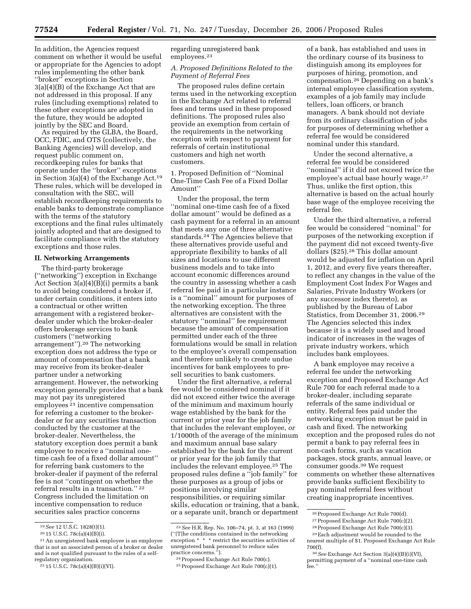In addition, the Agencies request comment on whether it would be useful or appropriate for the Agencies to adopt rules implementing the other bank ''broker'' exceptions in Section 3(a)(4)(B) of the Exchange Act that are not addressed in this proposal. If any rules (including exemptions) related to these other exceptions are adopted in the future, they would be adopted jointly by the SEC and Board.

As required by the GLBA, the Board, OCC, FDIC, and OTS (collectively, the Banking Agencies) will develop, and request public comment on, recordkeeping rules for banks that operate under the ''broker'' exceptions in Section 3(a)(4) of the Exchange Act.19 These rules, which will be developed in consultation with the SEC, will establish recordkeeping requirements to enable banks to demonstrate compliance with the terms of the statutory exceptions and the final rules ultimately jointly adopted and that are designed to facilitate compliance with the statutory exceptions and those rules.

#### **II. Networking Arrangements**

The third-party brokerage (''networking'') exception in Exchange Act Section 3(a)(4)(B)(i) permits a bank to avoid being considered a broker if, under certain conditions, it enters into a contractual or other written arrangement with a registered brokerdealer under which the broker-dealer offers brokerage services to bank customers (''networking arrangement'').20 The networking exception does not address the type or amount of compensation that a bank may receive from its broker-dealer partner under a networking arrangement. However, the networking exception generally provides that a bank may not pay its unregistered employees<sup>21</sup> incentive compensation for referring a customer to the brokerdealer or for any securities transaction conducted by the customer at the broker-dealer. Nevertheless, the statutory exception does permit a bank employee to receive a ''nominal onetime cash fee of a fixed dollar amount'' for referring bank customers to the broker-dealer if payment of the referral fee is not ''contingent on whether the referral results in a transaction.'' 22 Congress included the limitation on incentive compensation to reduce securities sales practice concerns

regarding unregistered bank employees.23

## *A. Proposed Definitions Related to the Payment of Referral Fees*

The proposed rules define certain terms used in the networking exception in the Exchange Act related to referral fees and terms used in these proposed definitions. The proposed rules also provide an exemption from certain of the requirements in the networking exception with respect to payment for referrals of certain institutional customers and high net worth customers.

1. Proposed Definition of ''Nominal One-Time Cash Fee of a Fixed Dollar Amount''

Under the proposal, the term ''nominal one-time cash fee of a fixed dollar amount'' would be defined as a cash payment for a referral in an amount that meets any one of three alternative standards.24 The Agencies believe that these alternatives provide useful and appropriate flexibility to banks of all sizes and locations to use different business models and to take into account economic differences around the country in assessing whether a cash referral fee paid in a particular instance is a ''nominal'' amount for purposes of the networking exception. The three alternatives are consistent with the statutory ''nominal'' fee requirement because the amount of compensation permitted under each of the three formulations would be small in relation to the employee's overall compensation and therefore unlikely to create undue incentives for bank employees to presell securities to bank customers.

Under the first alternative, a referral fee would be considered nominal if it did not exceed either twice the average of the minimum and maximum hourly wage established by the bank for the current or prior year for the job family that includes the relevant employee, *or*  1/1000th of the average of the minimum and maximum annual base salary established by the bank for the current or prior year for the job family that includes the relevant employee.25 The proposed rules define a ''job family'' for these purposes as a group of jobs or positions involving similar responsibilities, or requiring similar skills, education or training, that a bank, or a separate unit, branch or department

of a bank, has established and uses in the ordinary course of its business to distinguish among its employees for purposes of hiring, promotion, and compensation.26 Depending on a bank's internal employee classification system, examples of a job family may include tellers, loan officers, or branch managers. A bank should not deviate from its ordinary classification of jobs for purposes of determining whether a referral fee would be considered nominal under this standard.

Under the second alternative, a referral fee would be considered ''nominal'' if it did not exceed twice the employee's actual base hourly wage.<sup>27</sup> Thus, unlike the first option, this alternative is based on the actual hourly base wage of the employee receiving the referral fee.

Under the third alternative, a referral fee would be considered ''nominal'' for purposes of the networking exception if the payment did not exceed twenty-five dollars (\$25).28 This dollar amount would be adjusted for inflation on April 1, 2012, and every five years thereafter, to reflect any changes in the value of the Employment Cost Index For Wages and Salaries, Private Industry Workers (or any successor index thereto), as published by the Bureau of Labor Statistics, from December 31, 2006.29 The Agencies selected this index because it is a widely used and broad indicator of increases in the wages of private industry workers, which includes bank employees.

A bank employee may receive a referral fee under the networking exception and Proposed Exchange Act Rule 700 for each referral made to a broker-dealer, including separate referrals of the same individual or entity. Referral fees paid under the networking exception must be paid in cash and fixed. The networking exception and the proposed rules do not permit a bank to pay referral fees in non-cash forms, such as vacation packages, stock grants, annual leave, or consumer goods.30 We request comments on whether these alternatives provide banks sufficient flexibility to pay nominal referral fees without creating inappropriate incentives.

<sup>19</sup>*See* 12 U.S.C. 1828(t)(1).

<sup>20</sup> 15 U.S.C. 78c(a)(4)(B)(i).

<sup>21</sup>An unregistered bank employee is an employee that is not an associated person of a broker or dealer and is not qualified pursuant to the rules of a selfregulatory organization.

<sup>22</sup> 15 U.S.C. 78c(a)(4)(B)(i)(VI).

<sup>23</sup>*See* H.R. Rep. No. 106–74, pt. 3, at 163 (1999) (''[T]he conditions contained in the networking exception \* \* \* restrict the securities activities of unregistered bank personnel to reduce sales practice concerns.'').

<sup>24</sup>Proposed Exchange Act Rule 700(c).

<sup>25</sup>Proposed Exchange Act Rule 700(c)(1).

<sup>26</sup>Proposed Exchange Act Rule 700(d).

<sup>27</sup>Proposed Exchange Act Rule 700(c)(2).

<sup>28</sup>Proposed Exchange Act Rule 700(c)(3).

<sup>29</sup>Each adjustment would be rounded to the nearest multiple of \$1. Proposed Exchange Act Rule 700(f).

<sup>30</sup>*See* Exchange Act Section 3(a)(4)(B)(i)(VI), permitting payment of a ''nominal one-time cash fee.''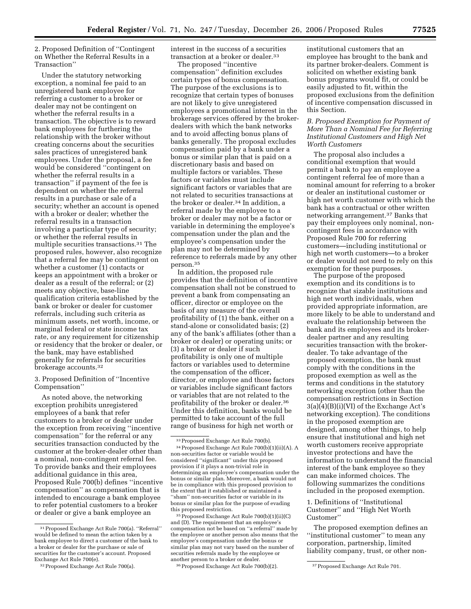2. Proposed Definition of ''Contingent on Whether the Referral Results in a Transaction''

Under the statutory networking exception, a nominal fee paid to an unregistered bank employee for referring a customer to a broker or dealer may not be contingent on whether the referral results in a transaction. The objective is to reward bank employees for furthering the relationship with the broker without creating concerns about the securities sales practices of unregistered bank employees. Under the proposal, a fee would be considered ''contingent on whether the referral results in a transaction'' if payment of the fee is dependent on whether the referral results in a purchase or sale of a security; whether an account is opened with a broker or dealer; whether the referral results in a transaction involving a particular type of security; or whether the referral results in multiple securities transactions.31 The proposed rules, however, also recognize that a referral fee may be contingent on whether a customer (1) contacts or keeps an appointment with a broker or dealer as a result of the referral; or (2) meets any objective, base-line qualification criteria established by the bank or broker or dealer for customer referrals, including such criteria as minimum assets, net worth, income, or marginal federal or state income tax rate, or any requirement for citizenship or residency that the broker or dealer, or the bank, may have established generally for referrals for securities brokerage accounts.32

3. Proposed Definition of ''Incentive Compensation''

As noted above, the networking exception prohibits unregistered employees of a bank that refer customers to a broker or dealer under the exception from receiving ''incentive compensation'' for the referral or any securities transaction conducted by the customer at the broker-dealer other than a nominal, non-contingent referral fee. To provide banks and their employees additional guidance in this area, Proposed Rule 700(b) defines ''incentive compensation'' as compensation that is intended to encourage a bank employee to refer potential customers to a broker or dealer or give a bank employee an

interest in the success of a securities transaction at a broker or dealer.33

The proposed ''incentive compensation'' definition excludes certain types of bonus compensation. The purpose of the exclusions is to recognize that certain types of bonuses are not likely to give unregistered employees a promotional interest in the brokerage services offered by the brokerdealers with which the bank networks and to avoid affecting bonus plans of banks generally. The proposal excludes compensation paid by a bank under a bonus or similar plan that is paid on a discretionary basis and based on multiple factors or variables. These factors or variables must include significant factors or variables that are not related to securities transactions at the broker or dealer.34 In addition, a referral made by the employee to a broker or dealer may not be a factor or variable in determining the employee's compensation under the plan and the employee's compensation under the plan may not be determined by reference to referrals made by any other person.35

In addition, the proposed rule provides that the definition of incentive compensation shall not be construed to prevent a bank from compensating an officer, director or employee on the basis of any measure of the overall profitability of (1) the bank, either on a stand-alone or consolidated basis; (2) any of the bank's affiliates (other than a broker or dealer) or operating units; or (3) a broker or dealer if such profitability is only one of multiple factors or variables used to determine the compensation of the officer, director, or employee and those factors or variables include significant factors or variables that are not related to the profitability of the broker or dealer.36 Under this definition, banks would be permitted to take account of the full range of business for high net worth or

35Proposed Exchange Act Rule 700(b)(1)(ii)(C) and (D). The requirement that an employee's compensation not be based on ''a referral'' made by the employee or another person also means that the employee's compensation under the bonus or similar plan may not vary based on the number of securities referrals made by the employee or another person to a broker or dealer.

<sup>36</sup> Proposed Exchange Act Rule 700(b)(2). <sup>37</sup> Proposed Exchange Act Rule 701.

institutional customers that an employee has brought to the bank and its partner broker-dealers. Comment is solicited on whether existing bank bonus programs would fit, or could be easily adjusted to fit, within the proposed exclusions from the definition of incentive compensation discussed in this Section.

## *B. Proposed Exemption for Payment of More Than a Nominal Fee for Referring Institutional Customers and High Net Worth Customers*

The proposal also includes a conditional exemption that would permit a bank to pay an employee a contingent referral fee of more than a nominal amount for referring to a broker or dealer an institutional customer or high net worth customer with which the bank has a contractual or other written networking arrangement.37 Banks that pay their employees only nominal, noncontingent fees in accordance with Proposed Rule 700 for referring customers—including institutional or high net worth customers—to a broker or dealer would not need to rely on this exemption for these purposes.

The purpose of the proposed exemption and its conditions is to recognize that sizable institutions and high net worth individuals, when provided appropriate information, are more likely to be able to understand and evaluate the relationship between the bank and its employees and its brokerdealer partner and any resulting securities transaction with the brokerdealer. To take advantage of the proposed exemption, the bank must comply with the conditions in the proposed exemption as well as the terms and conditions in the statutory networking exception (other than the compensation restrictions in Section 3(a)(4)(B)(i)(VI) of the Exchange Act's networking exception). The conditions in the proposed exemption are designed, among other things, to help ensure that institutional and high net worth customers receive appropriate investor protections and have the information to understand the financial interest of the bank employee so they can make informed choices. The following summarizes the conditions included in the proposed exemption.

1. Definitions of ''Institutional Customer'' and ''High Net Worth Customer''

The proposed exemption defines an ''institutional customer'' to mean any corporation, partnership, limited liability company, trust, or other non-

<sup>31</sup>Proposed Exchange Act Rule 700(a). ''Referral'' would be defined to mean the action taken by a bank employee to direct a customer of the bank to a broker or dealer for the purchase or sale of securities for the customer's account. Proposed Exchange Act Rule 700(e).

<sup>32</sup>Proposed Exchange Act Rule 700(a).

<sup>33</sup>Proposed Exchange Act Rule 700(b). 34Proposed Exchange Act Rule 700(b)(1)(ii)(A). A non-securities factor or variable would be considered ''significant'' under this proposed provision if it plays a non-trivial role in determining an employee's compensation under the bonus or similar plan. Moreover, a bank would not be in compliance with this proposed provision to the extent that it established or maintained a ''sham'' non-securities factor or variable in its bonus or similar plan for the purpose of evading this proposed restriction.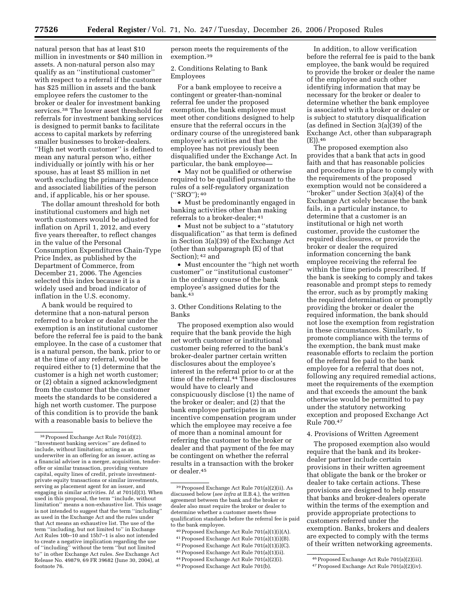natural person that has at least \$10 million in investments or \$40 million in assets. A non-natural person also may qualify as an ''institutional customer'' with respect to a referral if the customer has \$25 million in assets and the bank employee refers the customer to the broker or dealer for investment banking services.38 The lower asset threshold for referrals for investment banking services is designed to permit banks to facilitate access to capital markets by referring smaller businesses to broker-dealers. ''High net worth customer'' is defined to mean any natural person who, either individually or jointly with his or her spouse, has at least \$5 million in net worth excluding the primary residence and associated liabilities of the person and, if applicable, his or her spouse.

The dollar amount threshold for both institutional customers and high net worth customers would be adjusted for inflation on April 1, 2012, and every five years thereafter, to reflect changes in the value of the Personal Consumption Expenditures Chain-Type Price Index, as published by the Department of Commerce, from December 21, 2006. The Agencies selected this index because it is a widely used and broad indicator of inflation in the U.S. economy.

A bank would be required to determine that a non-natural person referred to a broker or dealer under the exemption is an institutional customer before the referral fee is paid to the bank employee. In the case of a customer that is a natural person, the bank, prior to or at the time of any referral, would be required either to (1) determine that the customer is a high net worth customer; or (2) obtain a signed acknowledgment from the customer that the customer meets the standards to be considered a high net worth customer. The purpose of this condition is to provide the bank with a reasonable basis to believe the

person meets the requirements of the exemption.39

2. Conditions Relating to Bank Employees

For a bank employee to receive a contingent or greater-than-nominal referral fee under the proposed exemption, the bank employee must meet other conditions designed to help ensure that the referral occurs in the ordinary course of the unregistered bank employee's activities and that the employee has not previously been disqualified under the Exchange Act. In particular, the bank employee—

• May not be qualified or otherwise required to be qualified pursuant to the rules of a self-regulatory organization (''SRO''); 40

• Must be predominantly engaged in banking activities other than making referrals to a broker-dealer; 41

• Must not be subject to a ''statutory disqualification'' as that term is defined in Section 3(a)(39) of the Exchange Act (other than subparagraph (E) of that Section); 42 and

• Must encounter the "high net worth" customer'' or ''institutional customer'' in the ordinary course of the bank employee's assigned duties for the bank.43

3. Other Conditions Relating to the Banks

The proposed exemption also would require that the bank provide the high net worth customer or institutional customer being referred to the bank's broker-dealer partner certain written disclosures about the employee's interest in the referral prior to or at the time of the referral.<sup>44</sup> These disclosures would have to clearly and conspicuously disclose (1) the name of the broker or dealer; and (2) that the bank employee participates in an incentive compensation program under which the employee may receive a fee of more than a nominal amount for referring the customer to the broker or dealer and that payment of the fee may be contingent on whether the referral results in a transaction with the broker or dealer.45

- 40Proposed Exchange Act Rule 701(a)(1)(i)(A).
- 41Proposed Exchange Act Rule 701(a)(1)(i)(B).
- 42Proposed Exchange Act Rule 701(a)(1)(i)(C).
- 43Proposed Exchange Act Rule 701(a)(1)(ii).
- 44Proposed Exchange Act Rule 701(a)(2)(i).
- 45Proposed Exchange Act Rule 701(b).

In addition, to allow verification before the referral fee is paid to the bank employee, the bank would be required to provide the broker or dealer the name of the employee and such other identifying information that may be necessary for the broker or dealer to determine whether the bank employee is associated with a broker or dealer or is subject to statutory disqualification (as defined in Section 3(a)(39) of the Exchange Act, other than subparagraph (E)).46

The proposed exemption also provides that a bank that acts in good faith and that has reasonable policies and procedures in place to comply with the requirements of the proposed exemption would not be considered a ''broker'' under Section 3(a)(4) of the Exchange Act solely because the bank fails, in a particular instance, to determine that a customer is an institutional or high net worth customer, provide the customer the required disclosures, or provide the broker or dealer the required information concerning the bank employee receiving the referral fee within the time periods prescribed. If the bank is seeking to comply and takes reasonable and prompt steps to remedy the error, such as by promptly making the required determination or promptly providing the broker or dealer the required information, the bank should not lose the exemption from registration in these circumstances. Similarly, to promote compliance with the terms of the exemption, the bank must make reasonable efforts to reclaim the portion of the referral fee paid to the bank employee for a referral that does not, following any required remedial actions, meet the requirements of the exemption and that exceeds the amount the bank otherwise would be permitted to pay under the statutory networking exception and proposed Exchange Act Rule 700.47

#### 4. Provisions of Written Agreement

The proposed exemption also would require that the bank and its brokerdealer partner include certain provisions in their written agreement that obligate the bank or the broker or dealer to take certain actions. These provisions are designed to help ensure that banks and broker-dealers operate within the terms of the exemption and provide appropriate protections to customers referred under the exemption. Banks, brokers and dealers are expected to comply with the terms of their written networking agreements.

<sup>38</sup>Proposed Exchange Act Rule 701(d)(2). ''Investment banking services'' are defined to include, without limitation; acting as an underwriter in an offering for an issuer, acting as a financial adviser in a merger, acquisition, tenderoffer or similar transaction, providing venture capital, equity lines of credit, private investmentprivate equity transactions or similar investments, serving as placement agent for an issuer, and engaging in similar activities. *Id.* at 701(d)(3). When used in this proposal, the term ''include, without limitation'' means a non-exhaustive list. This usage is not intended to suggest that the term "including as used in the Exchange Act and the rules under that Act means an exhaustive list. The use of the term ''including, but not limited to'' in Exchange Act Rules 10b–10 and 15b7–1 is also not intended to create a negative implication regarding the use of ''including'' without the term ''but not limited to'' in other Exchange Act rules. *See* Exchange Act Release No. 49879, 69 FR 39682 (June 30, 2004), at footnote 76.

<sup>39</sup>Proposed Exchange Act Rule 701(a)(2)(ii). As discussed below (*see infra* at II.B.4.), the written agreement between the bank and the broker or dealer also must require the broker or dealer to determine whether a customer meets these qualification standards before the referral fee is paid to the bank employee.

<sup>46</sup>Proposed Exchange Act Rule 701(a)(2)(iii).

<sup>47</sup>Proposed Exchange Act Rule 701(a)(2)(iv).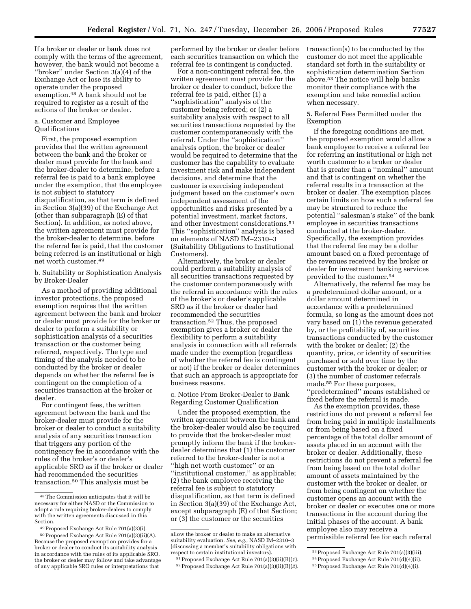If a broker or dealer or bank does not comply with the terms of the agreement, however, the bank would not become a ''broker'' under Section 3(a)(4) of the Exchange Act or lose its ability to operate under the proposed exemption.48 A bank should not be required to register as a result of the actions of the broker or dealer.

## a. Customer and Employee Qualifications

First, the proposed exemption provides that the written agreement between the bank and the broker or dealer must provide for the bank and the broker-dealer to determine, before a referral fee is paid to a bank employee under the exemption, that the employee is not subject to statutory disqualification, as that term is defined in Section 3(a)(39) of the Exchange Act (other than subparagraph (E) of that Section). In addition, as noted above, the written agreement must provide for the broker-dealer to determine, before the referral fee is paid, that the customer being referred is an institutional or high net worth customer.49

b. Suitability or Sophistication Analysis by Broker-Dealer

As a method of providing additional investor protections, the proposed exemption requires that the written agreement between the bank and broker or dealer must provide for the broker or dealer to perform a suitability or sophistication analysis of a securities transaction or the customer being referred, respectively. The type and timing of the analysis needed to be conducted by the broker or dealer depends on whether the referral fee is contingent on the completion of a securities transaction at the broker or dealer.

For contingent fees, the written agreement between the bank and the broker-dealer must provide for the broker or dealer to conduct a suitability analysis of any securities transaction that triggers any portion of the contingency fee in accordance with the rules of the broker's or dealer's applicable SRO as if the broker or dealer had recommended the securities transaction.50 This analysis must be

performed by the broker or dealer before each securities transaction on which the referral fee is contingent is conducted.

For a non-contingent referral fee, the written agreement must provide for the broker or dealer to conduct, before the referral fee is paid, either (1) a ''sophistication'' analysis of the customer being referred; or (2) a suitability analysis with respect to all securities transactions requested by the customer contemporaneously with the referral. Under the ''sophistication'' analysis option, the broker or dealer would be required to determine that the customer has the capability to evaluate investment risk and make independent decisions, and determine that the customer is exercising independent judgment based on the customer's own independent assessment of the opportunities and risks presented by a potential investment, market factors, and other investment considerations.51 This ''sophistication'' analysis is based on elements of NASD IM–2310–3 (Suitability Obligations to Institutional Customers).

Alternatively, the broker or dealer could perform a suitability analysis of all securities transactions requested by the customer contemporaneously with the referral in accordance with the rules of the broker's or dealer's applicable SRO as if the broker or dealer had recommended the securities transaction.52 Thus, the proposed exemption gives a broker or dealer the flexibility to perform a suitability analysis in connection with all referrals made under the exemption (regardless of whether the referral fee is contingent or not) if the broker or dealer determines that such an approach is appropriate for business reasons.

c. Notice From Broker-Dealer to Bank Regarding Customer Qualification

Under the proposed exemption, the written agreement between the bank and the broker-dealer would also be required to provide that the broker-dealer must promptly inform the bank if the brokerdealer determines that (1) the customer referred to the broker-dealer is not a ''high net worth customer'' or an ''institutional customer,'' as applicable; (2) the bank employee receiving the referral fee is subject to statutory disqualification, as that term is defined in Section 3(a)(39) of the Exchange Act, except subparagraph (E) of that Section; or (3) the customer or the securities

transaction(s) to be conducted by the customer do not meet the applicable standard set forth in the suitability or sophistication determination Section above.53 The notice will help banks monitor their compliance with the exemption and take remedial action when necessary.

## 5. Referral Fees Permitted under the Exemption

If the foregoing conditions are met, the proposed exemption would allow a bank employee to receive a referral fee for referring an institutional or high net worth customer to a broker or dealer that is greater than a ''nominal'' amount and that is contingent on whether the referral results in a transaction at the broker or dealer. The exemption places certain limits on how such a referral fee may be structured to reduce the potential ''salesman's stake'' of the bank employee in securities transactions conducted at the broker-dealer. Specifically, the exemption provides that the referral fee may be a dollar amount based on a fixed percentage of the revenues received by the broker or dealer for investment banking services provided to the customer.54

Alternatively, the referral fee may be a predetermined dollar amount, or a dollar amount determined in accordance with a predetermined formula, so long as the amount does not vary based on (1) the revenue generated by, or the profitability of, securities transactions conducted by the customer with the broker or dealer; (2) the quantity, price, or identity of securities purchased or sold over time by the customer with the broker or dealer; or (3) the number of customer referrals made.55 For these purposes, ''predetermined'' means established or fixed before the referral is made.

As the exemption provides, these restrictions do not prevent a referral fee from being paid in multiple installments or from being based on a fixed percentage of the total dollar amount of assets placed in an account with the broker or dealer. Additionally, these restrictions do not prevent a referral fee from being based on the total dollar amount of assets maintained by the customer with the broker or dealer, or from being contingent on whether the customer opens an account with the broker or dealer or executes one or more transactions in the account during the initial phases of the account. A bank employee also may receive a permissible referral fee for each referral

<sup>48</sup>The Commission anticipates that it will be necessary for either NASD or the Commission to adopt a rule requiring broker-dealers to comply with the written agreements discussed in this Section.

<sup>49</sup>Proposed Exchange Act Rule 701(a)(3)(i).

<sup>50</sup>Proposed Exchange Act Rule 701(a)(3)(ii)(A). Because the proposed exemption provides for a broker or dealer to conduct its suitability analysis in accordance with the rules of its applicable SRO, the broker or dealer may follow and take advantage of any applicable SRO rules or interpretations that

allow the broker or dealer to make an alternative suitability evaluation. *See*, *e.g.*, NASD IM–2310–3 (discussing a member's suitability obligations with respect to certain institutional investors).

<sup>51</sup>Proposed Exchange Act Rule 701(a)(3)(ii)(B)(*1*). 52Proposed Exchange Act Rule 701(a)(3)(ii)(B)(*2*).

<sup>53</sup>Proposed Exchange Act Rule 701(a)(3)(iii). 54Proposed Exchange Act Rule 701(d)(4)(ii).

<sup>55</sup>Proposed Exchange Act Rule 701(d)(4)(i).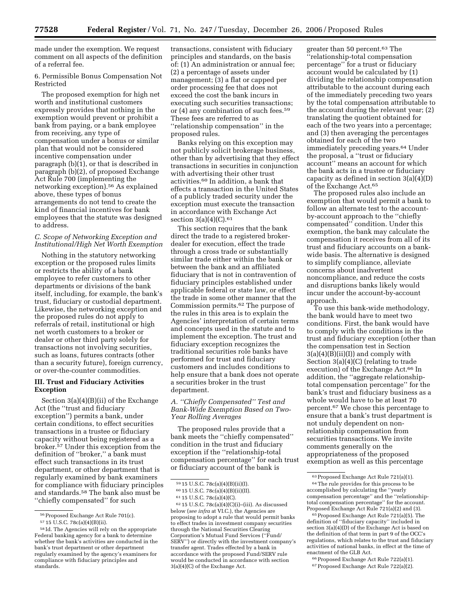made under the exemption. We request comment on all aspects of the definition of a referral fee.

6. Permissible Bonus Compensation Not Restricted

The proposed exemption for high net worth and institutional customers expressly provides that nothing in the exemption would prevent or prohibit a bank from paying, or a bank employee from receiving, any type of compensation under a bonus or similar plan that would not be considered incentive compensation under paragraph (b)(1), or that is described in paragraph (b)(2), of proposed Exchange Act Rule 700 (implementing the networking exception).56 As explained above, these types of bonus arrangements do not tend to create the kind of financial incentives for bank employees that the statute was designed to address.

## *C. Scope of Networking Exception and Institutional/High Net Worth Exemption*

Nothing in the statutory networking exception or the proposed rules limits or restricts the ability of a bank employee to refer customers to other departments or divisions of the bank itself, including, for example, the bank's trust, fiduciary or custodial department. Likewise, the networking exception and the proposed rules do not apply to referrals of retail, institutional or high net worth customers to a broker or dealer or other third party solely for transactions not involving securities, such as loans, futures contracts (other than a security future), foreign currency, or over-the-counter commodities.

## **III. Trust and Fiduciary Activities Exception**

Section 3(a)(4)(B)(ii) of the Exchange Act (the ''trust and fiduciary exception'') permits a bank, under certain conditions, to effect securities transactions in a trustee or fiduciary capacity without being registered as a broker.57 Under this exception from the definition of ''broker,'' a bank must effect such transactions in its trust department, or other department that is regularly examined by bank examiners for compliance with fiduciary principles and standards.58 The bank also must be ''chiefly compensated'' for such

transactions, consistent with fiduciary principles and standards, on the basis of: (1) An administration or annual fee; (2) a percentage of assets under management; (3) a flat or capped per order processing fee that does not exceed the cost the bank incurs in executing such securities transactions; or (4) any combination of such fees.59 These fees are referred to as ''relationship compensation'' in the proposed rules.

Banks relying on this exception may not publicly solicit brokerage business, other than by advertising that they effect transactions in securities in conjunction with advertising their other trust activities.60 In addition, a bank that effects a transaction in the United States of a publicly traded security under the exception must execute the transaction in accordance with Exchange Act section  $3(a)(4)(C).61$ 

This section requires that the bank direct the trade to a registered brokerdealer for execution, effect the trade through a cross trade or substantially similar trade either within the bank or between the bank and an affiliated fiduciary that is not in contravention of fiduciary principles established under applicable federal or state law, or effect the trade in some other manner that the Commission permits.62 The purpose of the rules in this area is to explain the Agencies' interpretation of certain terms and concepts used in the statute and to implement the exception. The trust and fiduciary exception recognizes the traditional securities role banks have performed for trust and fiduciary customers and includes conditions to help ensure that a bank does not operate a securities broker in the trust department.

## *A. ''Chiefly Compensated'' Test and Bank-Wide Exemption Based on Two-Year Rolling Averages*

The proposed rules provide that a bank meets the ''chiefly compensated'' condition in the trust and fiduciary exception if the ''relationship-total compensation percentage'' for each trust or fiduciary account of the bank is

greater than 50 percent.63 The ''relationship-total compensation percentage'' for a trust or fiduciary account would be calculated by (1) dividing the relationship compensation attributable to the account during each of the immediately preceding two years by the total compensation attributable to the account during the relevant year; (2) translating the quotient obtained for each of the two years into a percentage; and (3) then averaging the percentages obtained for each of the two immediately preceding years.64 Under the proposal, a ''trust or fiduciary account'' means an account for which the bank acts in a trustee or fiduciary capacity as defined in section 3(a)(4)(D) of the Exchange Act.65

The proposed rules also include an exemption that would permit a bank to follow an alternate test to the accountby-account approach to the ''chiefly compensated'' condition. Under this exemption, the bank may calculate the compensation it receives from all of its trust and fiduciary accounts on a bankwide basis. The alternative is designed to simplify compliance, alleviate concerns about inadvertent noncompliance, and reduce the costs and disruptions banks likely would incur under the account-by-account approach.

To use this bank-wide methodology, the bank would have to meet two conditions. First, the bank would have to comply with the conditions in the trust and fiduciary exception (other than the compensation test in Section  $3(a)(4)(B)(ii)(I)$  and comply with Section 3(a)(4)(C) (relating to trade execution) of the Exchange Act.66 In addition, the ''aggregate relationshiptotal compensation percentage'' for the bank's trust and fiduciary business as a whole would have to be at least 70 percent.67 We chose this percentage to ensure that a bank's trust department is not unduly dependent on nonrelationship compensation from securities transactions. We invite comments generally on the appropriateness of the proposed exemption as well as this percentage

<sup>56</sup>Proposed Exchange Act Rule 701(c).

<sup>57</sup> 15 U.S.C. 78c(a)(4)(B)(ii).

<sup>58</sup> Id. The Agencies will rely on the appropriate Federal banking agency for a bank to determine whether the bank's activities are conducted in the bank's trust department or other department regularly examined by the agency's examiners for compliance with fiduciary principles and standards.

<sup>59</sup> 15 U.S.C. 78c(a)(4)(B)(ii)(I).

<sup>60</sup> 15 U.S.C. 78c(a)(4)(B)(ii)(II).

<sup>61</sup> 15 U.S.C. 78c(a)(4)(C).

<sup>62</sup> 15 U.S.C. 78c(a)(4)(C)(i)–(iii). As discussed below (*see infra* at VI.C.), the Agencies are proposing to adopt a rule that would permit banks to effect trades in investment company securities through the National Securities Clearing Corporation's Mutual Fund Services (''Fund/ SERV'') or directly with the investment company's transfer agent. Trades effected by a bank in accordance with the proposed Fund/SERV rule would be conducted in accordance with section 3(a)(4)(C) of the Exchange Act.

<sup>63</sup>Proposed Exchange Act Rule 721(a)(1). 64The rule provides for this process to be accomplished by calculating the ''yearly compensation percentage'' and the ''relationshiptotal compensation percentage'' for the account. Proposed Exchange Act Rule 721(a)(2) and (3).

<sup>65</sup>Proposed Exchange Act Rule 721(a)(5). The definition of ''fiduciary capacity'' included in section 3(a)(4)(D) of the Exchange Act is based on the definition of that term in part 9 of the OCC's regulations, which relates to the trust and fiduciary activities of national banks, in effect at the time of enactment of the GLB Act.

<sup>66</sup>Proposed Exchange Act Rule 722(a)(1).

<sup>67</sup>Proposed Exchange Act Rule 722(a)(2).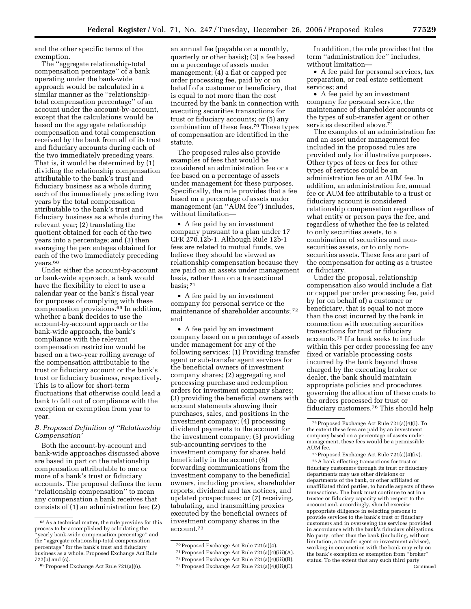and the other specific terms of the exemption.

The ''aggregate relationship-total compensation percentage'' of a bank operating under the bank-wide approach would be calculated in a similar manner as the ''relationshiptotal compensation percentage'' of an account under the account-by-account, except that the calculations would be based on the aggregate relationship compensation and total compensation received by the bank from all of its trust and fiduciary accounts during each of the two immediately preceding years. That is, it would be determined by (1) dividing the relationship compensation attributable to the bank's trust and fiduciary business as a whole during each of the immediately preceding two years by the total compensation attributable to the bank's trust and fiduciary business as a whole during the relevant year; (2) translating the quotient obtained for each of the two years into a percentage; and (3) then averaging the percentages obtained for each of the two immediately preceding years.68

Under either the account-by-account or bank-wide approach, a bank would have the flexibility to elect to use a calendar year or the bank's fiscal year for purposes of complying with these compensation provisions.69 In addition, whether a bank decides to use the account-by-account approach or the bank-wide approach, the bank's compliance with the relevant compensation restriction would be based on a two-year rolling average of the compensation attributable to the trust or fiduciary account or the bank's trust or fiduciary business, respectively. This is to allow for short-term fluctuations that otherwise could lead a bank to fall out of compliance with the exception or exemption from year to year.

## *B. Proposed Definition of ''Relationship Compensation'*

Both the account-by-account and bank-wide approaches discussed above are based in part on the relationship compensation attributable to one or more of a bank's trust or fiduciary accounts. The proposal defines the term ''relationship compensation'' to mean any compensation a bank receives that consists of (1) an administration fee; (2)

an annual fee (payable on a monthly, quarterly or other basis); (3) a fee based on a percentage of assets under management; (4) a flat or capped per order processing fee, paid by or on behalf of a customer or beneficiary, that is equal to not more than the cost incurred by the bank in connection with executing securities transactions for trust or fiduciary accounts; or (5) any combination of these fees.70 These types of compensation are identified in the statute.

The proposed rules also provide examples of fees that would be considered an administration fee or a fee based on a percentage of assets under management for these purposes. Specifically, the rule provides that a fee based on a percentage of assets under management (an ''AUM fee'') includes, without limitation—

• A fee paid by an investment company pursuant to a plan under 17 CFR 270.12b-1. Although Rule 12b-1 fees are related to mutual funds, we believe they should be viewed as relationship compensation because they are paid on an assets under management basis, rather than on a transactional hasis:  $71$ 

• A fee paid by an investment company for personal service or the maintenance of shareholder accounts; 72 and

• A fee paid by an investment company based on a percentage of assets under management for any of the following services: (1) Providing transfer agent or sub-transfer agent services for the beneficial owners of investment company shares; (2) aggregating and processing purchase and redemption orders for investment company shares; (3) providing the beneficial owners with account statements showing their purchases, sales, and positions in the investment company; (4) processing dividend payments to the account for the investment company; (5) providing sub-accounting services to the investment company for shares held beneficially in the account; (6) forwarding communications from the investment company to the beneficial owners, including proxies, shareholder reports, dividend and tax notices, and updated prospectuses; or (7) receiving, tabulating, and transmitting proxies executed by the beneficial owners of investment company shares in the account.73

In addition, the rule provides that the term ''administration fee'' includes, without limitation—

• A fee paid for personal services, tax preparation, or real estate settlement services; and

• A fee paid by an investment company for personal service, the maintenance of shareholder accounts or the types of sub-transfer agent or other services described above.74

The examples of an administration fee and an asset under management fee included in the proposed rules are provided only for illustrative purposes. Other types of fees or fees for other types of services could be an administration fee or an AUM fee. In addition, an administration fee, annual fee or AUM fee attributable to a trust or fiduciary account is considered relationship compensation regardless of what entity or person pays the fee, and regardless of whether the fee is related to only securities assets, to a combination of securities and nonsecurities assets, or to only nonsecurities assets. These fees are part of the compensation for acting as a trustee or fiduciary.

Under the proposal, relationship compensation also would include a flat or capped per order processing fee, paid by (or on behalf of) a customer or beneficiary, that is equal to not more than the cost incurred by the bank in connection with executing securities transactions for trust or fiduciary accounts.75 If a bank seeks to include within this per order processing fee any fixed or variable processing costs incurred by the bank beyond those charged by the executing broker or dealer, the bank should maintain appropriate policies and procedures governing the allocation of these costs to the orders processed for trust or fiduciary customers.76 This should help

75Proposed Exchange Act Rule 721(a)(4)(iv). 76A bank effecting transactions for trust or fiduciary customers through its trust or fiduciary departments may use other divisions or departments of the bank, or other affiliated or unaffiliated third parties, to handle aspects of these transactions. The bank must continue to act in a trustee or fiduciary capacity with respect to the account and, accordingly, should exercise appropriate diligence in selecting persons to provide services to the bank's trust or fiduciary customers and in overseeing the services provided in accordance with the bank's fiduciary obligations. No party, other than the bank (including, without limitation, a transfer agent or investment adviser), working in conjunction with the bank may rely on the bank's exception or exemption from ''broker'' status. To the extent that any such third party Continued

<sup>68</sup>As a technical matter, the rule provides for this process to be accomplished by calculating the 'yearly bank-wide compensation percentage'' and the ''aggregate relationship-total compensation percentage'' for the bank's trust and fiduciary business as a whole. Proposed Exchange Act Rule 722(b) and (c).

<sup>69</sup>Proposed Exchange Act Rule 721(a)(6).

<sup>70</sup>Proposed Exchange Act Rule 721(a)(4).

<sup>71</sup>Proposed Exchange Act Rule 721(a)(4)(iii)(A).

<sup>72</sup>Proposed Exchange Act Rule 721(a)(4)(iii)(B).

<sup>73</sup>Proposed Exchange Act Rule 721(a)(4)(iii)(C).

<sup>74</sup>Proposed Exchange Act Rule 721(a)(4)(i). To the extent these fees are paid by an investment company based on a percentage of assets under management, these fees would be a permissible AUM fee.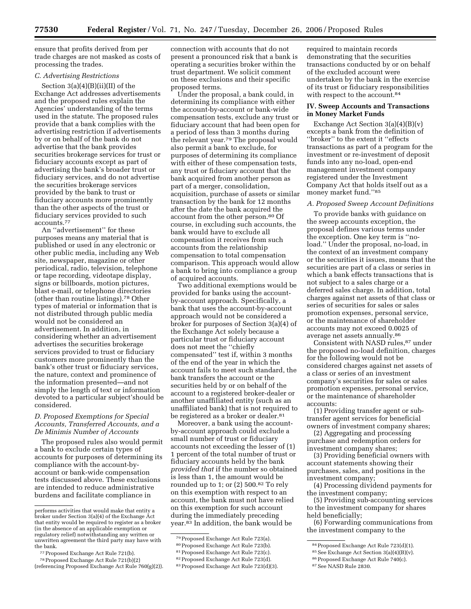ensure that profits derived from per trade charges are not masked as costs of processing the trades.

## *C. Advertising Restrictions*

Section  $3(a)(4)(B)(ii)(II)$  of the Exchange Act addresses advertisements and the proposed rules explain the Agencies' understanding of the terms used in the statute. The proposed rules provide that a bank complies with the advertising restriction if advertisements by or on behalf of the bank do not advertise that the bank provides securities brokerage services for trust or fiduciary accounts except as part of advertising the bank's broader trust or fiduciary services, and do not advertise the securities brokerage services provided by the bank to trust or fiduciary accounts more prominently than the other aspects of the trust or fiduciary services provided to such accounts.77

An ''advertisement'' for these purposes means any material that is published or used in any electronic or other public media, including any Web site, newspaper, magazine or other periodical, radio, television, telephone or tape recording, videotape display, signs or billboards, motion pictures, blast e-mail, or telephone directories (other than routine listings).78 Other types of material or information that is not distributed through public media would not be considered an advertisement. In addition, in considering whether an advertisement advertises the securities brokerage services provided to trust or fiduciary customers more prominently than the bank's other trust or fiduciary services, the nature, context and prominence of the information presented—and not simply the length of text or information devoted to a particular subject'should be considered.

## *D. Proposed Exemptions for Special Accounts, Transferred Accounts, and a De Minimis Number of Accounts*

The proposed rules also would permit a bank to exclude certain types of accounts for purposes of determining its compliance with the account-byaccount or bank-wide compensation tests discussed above. These exclusions are intended to reduce administrative burdens and facilitate compliance in

77Proposed Exchange Act Rule 721(b).

connection with accounts that do not present a pronounced risk that a bank is operating a securities broker within the trust department. We solicit comment on these exclusions and their specific proposed terms.

Under the proposal, a bank could, in determining its compliance with either the account-by-account or bank-wide compensation tests, exclude any trust or fiduciary account that had been open for a period of less than 3 months during the relevant year.79 The proposal would also permit a bank to exclude, for purposes of determining its compliance with either of these compensation tests, any trust or fiduciary account that the bank acquired from another person as part of a merger, consolidation, acquisition, purchase of assets or similar transaction by the bank for 12 months after the date the bank acquired the account from the other person.80 Of course, in excluding such accounts, the bank would have to exclude all compensation it receives from such accounts from the relationship compensation to total compensation comparison. This approach would allow a bank to bring into compliance a group of acquired accounts.

Two additional exemptions would be provided for banks using the accountby-account approach. Specifically, a bank that uses the account-by-account approach would not be considered a broker for purposes of Section 3(a)(4) of the Exchange Act solely because a particular trust or fiduciary account does not meet the ''chiefly compensated'' test if, within 3 months of the end of the year in which the account fails to meet such standard, the bank transfers the account or the securities held by or on behalf of the account to a registered broker-dealer or another unaffiliated entity (such as an unaffiliated bank) that is not required to be registered as a broker or dealer.<sup>81</sup>

Moreover, a bank using the accountby-account approach could exclude a small number of trust or fiduciary accounts not exceeding the lesser of (1) 1 percent of the total number of trust or fiduciary accounts held by the bank *provided that* if the number so obtained is less than 1, the amount would be rounded up to 1; or  $(2)$  500.<sup>82</sup> To rely on this exemption with respect to an account, the bank must not have relied on this exemption for such account during the immediately preceding year.83 In addition, the bank would be

required to maintain records demonstrating that the securities transactions conducted by or on behalf of the excluded account were undertaken by the bank in the exercise of its trust or fiduciary responsibilities with respect to the account.<sup>84</sup>

#### **IV. Sweep Accounts and Transactions in Money Market Funds**

Exchange Act Section  $3(a)(4)(B)(v)$ excepts a bank from the definition of ''broker'' to the extent it ''effects transactions as part of a program for the investment or re-investment of deposit funds into any no-load, open-end management investment company registered under the Investment Company Act that holds itself out as a money market fund.''85

#### *A. Proposed Sweep Account Definitions*

To provide banks with guidance on the sweep accounts exception, the proposal defines various terms under the exception. One key term is ''noload.'' Under the proposal, no-load, in the context of an investment company or the securities it issues, means that the securities are part of a class or series in which a bank effects transactions that is not subject to a sales charge or a deferred sales charge. In addition, total charges against net assets of that class or series of securities for sales or sales promotion expenses, personal service, or the maintenance of shareholder accounts may not exceed 0.0025 of average net assets annually.86

Consistent with NASD rules,87 under the proposed no-load definition, charges for the following would not be considered charges against net assets of a class or series of an investment company's securities for sales or sales promotion expenses, personal service, or the maintenance of shareholder accounts:

(1) Providing transfer agent or subtransfer agent services for beneficial owners of investment company shares;

(2) Aggregating and processing purchase and redemption orders for investment company shares;

(3) Providing beneficial owners with account statements showing their purchases, sales, and positions in the investment company;

(4) Processing dividend payments for the investment company;

(5) Providing sub-accounting services to the investment company for shares held beneficially;

(6) Forwarding communications from the investment company to the

performs activities that would make that entity a broker under Section 3(a)(4) of the Exchange Act that entity would be required to register as a broker (in the absence of an applicable exemption or regulatory relief) notwithstanding any written or unwritten agreement the third party may have with the bank.

<sup>78</sup>Proposed Exchange Act Rule 721(b)(2) (referencing Proposed Exchange Act Rule 760(g)(2)).

<sup>79</sup>Proposed Exchange Act Rule 723(a).

<sup>80</sup>Proposed Exchange Act Rule 723(b).

<sup>81</sup>Proposed Exchange Act Rule 723(c).

<sup>82</sup>Proposed Exchange Act Rule 723(d).

<sup>83</sup>Proposed Exchange Act Rule 723(d)(3).

<sup>84</sup>Proposed Exchange Act Rule 723(d)(1).

<sup>85</sup>See Exchange Act Section 3(a)(4)(B)(v).

<sup>86</sup>Proposed Exchange Act Rule 740(c).

<sup>87</sup>See NASD Rule 2830.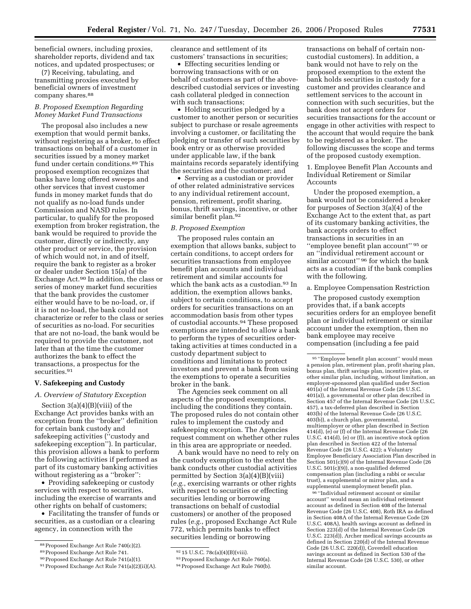beneficial owners, including proxies, shareholder reports, dividend and tax notices, and updated prospectuses; or

(7) Receiving, tabulating, and transmitting proxies executed by beneficial owners of investment company shares.<sup>88</sup>

## *B. Proposed Exemption Regarding Money Market Fund Transactions*

The proposal also includes a new exemption that would permit banks, without registering as a broker, to effect transactions on behalf of a customer in securities issued by a money market fund under certain conditions.89 This proposed exemption recognizes that banks have long offered sweeps and other services that invest customer funds in money market funds that do not qualify as no-load funds under Commission and NASD rules. In particular, to qualify for the proposed exemption from broker registration, the bank would be required to provide the customer, directly or indirectly, any other product or service, the provision of which would not, in and of itself, require the bank to register as a broker or dealer under Section 15(a) of the Exchange Act.90 In addition, the class or series of money market fund securities that the bank provides the customer either would have to be no-load, or, if it is not no-load, the bank could not characterize or refer to the class or series of securities as no-load. For securities that are not no-load, the bank would be required to provide the customer, not later than at the time the customer authorizes the bank to effect the transactions, a prospectus for the securities.91

#### **V. Safekeeping and Custody**

#### *A. Overview of Statutory Exception*

Section  $3(a)(4)(B)(viii)$  of the Exchange Act provides banks with an exception from the ''broker'' definition for certain bank custody and safekeeping activities (''custody and safekeeping exception''). In particular, this provision allows a bank to perform the following activities if performed as part of its customary banking activities without registering as a ''broker'':

• Providing safekeeping or custody services with respect to securities, including the exercise of warrants and other rights on behalf of customers;

• Facilitating the transfer of funds or securities, as a custodian or a clearing agency, in connection with the

clearance and settlement of its customers' transactions in securities;

• Effecting securities lending or borrowing transactions with or on behalf of customers as part of the abovedescribed custodial services or investing cash collateral pledged in connection with such transactions;

• Holding securities pledged by a customer to another person or securities subject to purchase or resale agreements involving a customer, or facilitating the pledging or transfer of such securities by book entry or as otherwise provided under applicable law, if the bank maintains records separately identifying the securities and the customer; and

• Serving as a custodian or provider of other related administrative services to any individual retirement account, pension, retirement, profit sharing, bonus, thrift savings, incentive, or other similar benefit plan.92

#### *B. Proposed Exemption*

The proposed rules contain an exemption that allows banks, subject to certain conditions, to accept orders for securities transactions from employee benefit plan accounts and individual retirement and similar accounts for which the bank acts as a custodian.<sup>93</sup> In addition, the exemption allows banks, subject to certain conditions, to accept orders for securities transactions on an accommodation basis from other types of custodial accounts.94 These proposed exemptions are intended to allow a bank to perform the types of securities ordertaking activities at times conducted in a custody department subject to conditions and limitations to protect investors and prevent a bank from using the exemptions to operate a securities broker in the bank.

The Agencies seek comment on all aspects of the proposed exemptions, including the conditions they contain. The proposed rules do not contain other rules to implement the custody and safekeeping exception. The Agencies request comment on whether other rules in this area are appropriate or needed.

A bank would have no need to rely on the custody exemption to the extent the bank conducts other custodial activities permitted by Section 3(a)(4)(B)(viii) (*e.g.*, exercising warrants or other rights with respect to securities or effecting securities lending or borrowing transactions on behalf of custodial customers) or another of the proposed rules (*e.g.*, proposed Exchange Act Rule 772, which permits banks to effect securities lending or borrowing

transactions on behalf of certain noncustodial customers). In addition, a bank would not have to rely on the proposed exemption to the extent the bank holds securities in custody for a customer and provides clearance and settlement services to the account in connection with such securities, but the bank does not accept orders for securities transactions for the account or engage in other activities with respect to the account that would require the bank to be registered as a broker. The following discusses the scope and terms of the proposed custody exemption.

1. Employee Benefit Plan Accounts and Individual Retirement or Similar Accounts

Under the proposed exemption, a bank would not be considered a broker for purposes of Section 3(a)(4) of the Exchange Act to the extent that, as part of its customary banking activities, the bank accepts orders to effect transactions in securities in an ''employee benefit plan account'' 95 or an ''individual retirement account or similar account" <sup>96</sup> for which the bank acts as a custodian if the bank complies with the following.

#### a. Employee Compensation Restriction

The proposed custody exemption provides that, if a bank accepts securities orders for an employee benefit plan or individual retirement or similar account under the exemption, then no bank employee may receive compensation (including a fee paid

96 ''Individual retirement account or similar account'' would mean an individual retirement account as defined in Section 408 of the Internal Revenue Code (26 U.S.C. 408), Roth IRA as defined in Section 408A of the Internal Revenue Code (26 U.S.C. 408A), health savings account as defined in Section 223(d) of the Internal Revenue Code (26 U.S.C. 223(d)), Archer medical savings accounts as defined in Section 220(d) of the Internal Revenue Code (26 U.S.C. 220(d)), Coverdell education savings account as defined in Section 530 of the Internal Revenue Code (26 U.S.C. 530), or other similar account.

<sup>88</sup>Proposed Exchange Act Rule 740(c)(2).

<sup>89</sup>Proposed Exchange Act Rule 741.

<sup>90</sup>Proposed Exchange Act Rule 741(a)(1).

<sup>91</sup>Proposed Exchange Act Rule 741(a)(2)(ii)(A).

<sup>92</sup> 15 U.S.C. 78c(a)(4)(B)(viii).

<sup>93</sup>Proposed Exchange Act Rule 760(a).

<sup>94</sup> Proposed Exchange Act Rule 760(b).

<sup>95</sup> ''Employee benefit plan account'' would mean a pension plan, retirement plan, profit sharing plan, bonus plan, thrift savings plan, incentive plan, or other similar plan, including, without limitation, an employer-sponsored plan qualified under Section 401(a) of the Internal Revenue Code (26 U.S.C. 401(a)), a governmental or other plan described in Section 457 of the Internal Revenue Code (26 U.S.C. 457), a tax-deferred plan described in Section 403(b) of the Internal Revenue Code (26 U.S.C. 403(b)), a church plan, governmental, multiemployer or other plan described in Section 414(d), (e) or (f) of the Internal Revenue Code (26 U.S.C. 414(d), (e) or (f)), an incentive stock option plan described in Section 422 of the Internal Revenue Code (26 U.S.C. 422); a Voluntary Employee Beneficiary Association Plan described in Section 501(c)(9) of the Internal Revenue Code (26 U.S.C. 501(c)(9)), a non-qualified deferred compensation plan (including a rabbi or secular trust), a supplemental or mirror plan, and a supplemental unemployment benefit plan.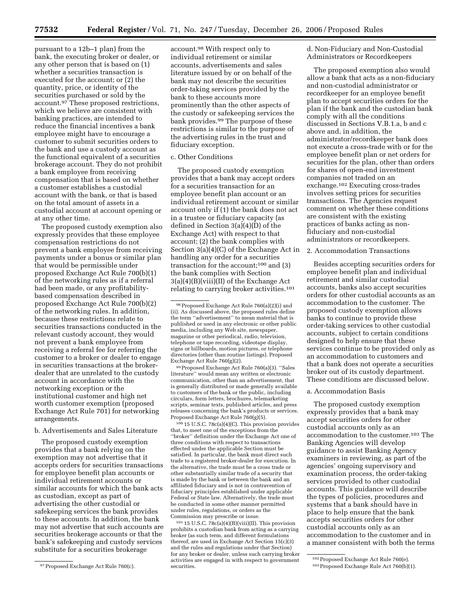pursuant to a 12b–1 plan) from the bank, the executing broker or dealer, or any other person that is based on (1) whether a securities transaction is executed for the account; or (2) the quantity, price, or identity of the securities purchased or sold by the account.97 These proposed restrictions, which we believe are consistent with banking practices, are intended to reduce the financial incentives a bank employee might have to encourage a customer to submit securities orders to the bank and use a custody account as the functional equivalent of a securities brokerage account. They do not prohibit a bank employee from receiving compensation that is based on whether a customer establishes a custodial account with the bank, or that is based on the total amount of assets in a custodial account at account opening or at any other time.

The proposed custody exemption also expressly provides that these employee compensation restrictions do not prevent a bank employee from receiving payments under a bonus or similar plan that would be permissible under proposed Exchange Act Rule 700(b)(1) of the networking rules as if a referral had been made, or any profitabilitybased compensation described in proposed Exchange Act Rule 700(b)(2) of the networking rules. In addition, because these restrictions relate to securities transactions conducted in the relevant custody account, they would not prevent a bank employee from receiving a referral fee for referring the customer to a broker or dealer to engage in securities transactions at the brokerdealer that are unrelated to the custody account in accordance with the networking exception or the institutional customer and high net worth customer exemption (proposed Exchange Act Rule 701) for networking arrangements.

## b. Advertisements and Sales Literature

The proposed custody exemption provides that a bank relying on the exemption may not advertise that it accepts orders for securities transactions for employee benefit plan accounts or individual retirement accounts or similar accounts for which the bank acts as custodian, except as part of advertising the other custodial or safekeeping services the bank provides to these accounts. In addition, the bank may not advertise that such accounts are securities brokerage accounts or that the bank's safekeeping and custody services substitute for a securities brokerage

account.98 With respect only to individual retirement or similar accounts, advertisements and sales literature issued by or on behalf of the bank may not describe the securities order-taking services provided by the bank to these accounts more prominently than the other aspects of the custody or safekeeping services the bank provides.99 The purpose of these restrictions is similar to the purpose of the advertising rules in the trust and fiduciary exception.

## c. Other Conditions

The proposed custody exemption provides that a bank may accept orders for a securities transaction for an employee benefit plan account or an individual retirement account or similar account only if (1) the bank does not act in a trustee or fiduciary capacity (as defined in Section 3(a)(4)(D) of the Exchange Act) with respect to that account; (2) the bank complies with Section 3(a)(4)(C) of the Exchange Act in handling any order for a securities transaction for the account;100 and (3) the bank complies with Section 3(a)(4)(B)(viii)(II) of the Exchange Act relating to carrying broker activities.101

99Proposed Exchange Act Rule 760(a)(3). ''Sales literature'' would mean any written or electronic communication, other than an advertisement, that is generally distributed or made generally available to customers of the bank or the public, including circulars, form letters, brochures, telemarketing scripts, seminar texts, published articles, and press releases concerning the bank's products or services. Proposed Exchange Act Rule 760(g)(5).

100 15 U.S.C. 78c(a)(4)(C). This provision provides that, to meet one of the exceptions from the ''broker'' definition under the Exchange Act one of three conditions with respect to transactions effected under the applicable Section must be satisfied. In particular, the bank must direct such trade to a registered broker-dealer for execution. In the alternative, the trade must be a cross trade or other substantially similar trade of a security that is made by the bank or between the bank and an affiliated fiduciary and is not in contravention of fiduciary principles established under applicable Federal or State law. Alternatively, the trade must be conducted in some other manner permitted under rules, regulations, or orders as the Commission may prescribe or issue.

101 15 U.S.C. 78c(a)(4)(B)(viii)(II). This provision prohibits a custodian bank from acting as a carrying broker (as such term, and different formulations thereof, are used in Exchange Act Section 15(c)(3) and the rules and regulations under that Section) for any broker or dealer, unless such carrying broker activities are engaged in with respect to government securities.

d. Non-Fiduciary and Non-Custodial Administrators or Recordkeepers

The proposed exemption also would allow a bank that acts as a non-fiduciary and non-custodial administrator or recordkeeper for an employee benefit plan to accept securities orders for the plan if the bank and the custodian bank comply with all the conditions discussed in Sections V.B.1.a, b and c above and, in addition, the administrator/recordkeeper bank does not execute a cross-trade with or for the employee benefit plan or net orders for securities for the plan, other than orders for shares of open-end investment companies not traded on an exchange.102 Executing cross-trades involves setting prices for securities transactions. The Agencies request comment on whether these conditions are consistent with the existing practices of banks acting as nonfiduciary and non-custodial administrators or recordkeepers.

#### 2. Accommodation Transactions

Besides accepting securities orders for employee benefit plan and individual retirement and similar custodial accounts, banks also accept securities orders for other custodial accounts as an accommodation to the customer. The proposed custody exemption allows banks to continue to provide these order-taking services to other custodial accounts, subject to certain conditions designed to help ensure that these services continue to be provided only as an accommodation to customers and that a bank does not operate a securities broker out of its custody department. These conditions are discussed below.

#### a. Accommodation Basis

The proposed custody exemption expressly provides that a bank may accept securities orders for other custodial accounts only as an accommodation to the customer.103 The Banking Agencies will develop guidance to assist Banking Agency examiners in reviewing, as part of the agencies' ongoing supervisory and examination process, the order-taking services provided to other custodial accounts. This guidance will describe the types of policies, procedures and systems that a bank should have in place to help ensure that the bank accepts securities orders for other custodial accounts only as an accommodation to the customer and in a manner consistent with both the terms

<sup>97</sup> Proposed Exchange Act Rule 760(c).

<sup>98</sup>Proposed Exchange Act Rule 760(a)(2)(i) and (ii). As discussed above, the proposed rules define the term ''advertisement'' to mean material that is published or used in any electronic or other public media, including any Web site, newspaper, magazine or other periodical, radio, television, telephone or tape recording, videotape display, signs or billboards, motion pictures, or telephone directories (other than routine listings). Proposed Exchange Act Rule 760(g)(2).

<sup>102</sup>Proposed Exchange Act Rule 760(e).

<sup>103</sup>Proposed Exchange Rule Act 760(b)(1).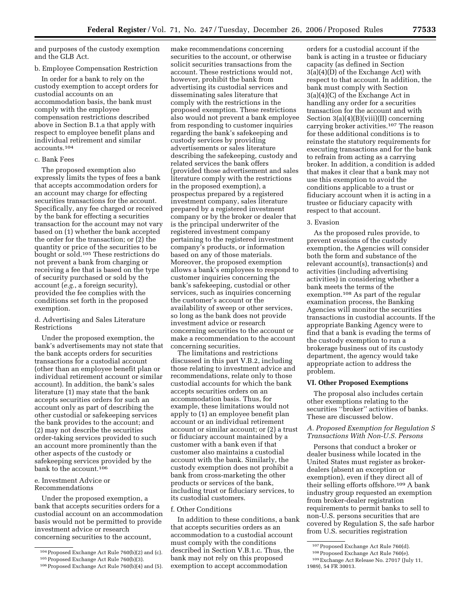and purposes of the custody exemption and the GLB Act.

## b. Employee Compensation Restriction

In order for a bank to rely on the custody exemption to accept orders for custodial accounts on an accommodation basis, the bank must comply with the employee compensation restrictions described above in Section B.1.a that apply with respect to employee benefit plans and individual retirement and similar accounts.104

#### c. Bank Fees

The proposed exemption also expressly limits the types of fees a bank that accepts accommodation orders for an account may charge for effecting securities transactions for the account. Specifically, any fee charged or received by the bank for effecting a securities transaction for the account may not vary based on (1) whether the bank accepted the order for the transaction; or (2) the quantity or price of the securities to be bought or sold.105 These restrictions do not prevent a bank from charging or receiving a fee that is based on the type of security purchased or sold by the account (*e.g.*, a foreign security), provided the fee complies with the conditions set forth in the proposed exemption.

## d. Advertising and Sales Literature Restrictions

Under the proposed exemption, the bank's advertisements may not state that the bank accepts orders for securities transactions for a custodial account (other than an employee benefit plan or individual retirement account or similar account). In addition, the bank's sales literature (1) may state that the bank accepts securities orders for such an account only as part of describing the other custodial or safekeeping services the bank provides to the account; and (2) may not describe the securities order-taking services provided to such an account more prominently than the other aspects of the custody or safekeeping services provided by the bank to the account.106

## e. Investment Advice or Recommendations

Under the proposed exemption, a bank that accepts securities orders for a custodial account on an accommodation basis would not be permitted to provide investment advice or research concerning securities to the account,

make recommendations concerning securities to the account, or otherwise solicit securities transactions from the account. These restrictions would not, however, prohibit the bank from advertising its custodial services and disseminating sales literature that comply with the restrictions in the proposed exemption. These restrictions also would not prevent a bank employee from responding to customer inquiries regarding the bank's safekeeping and custody services by providing advertisements or sales literature describing the safekeeping, custody and related services the bank offers (provided those advertisement and sales literature comply with the restrictions in the proposed exemption), a prospectus prepared by a registered investment company, sales literature prepared by a registered investment company or by the broker or dealer that is the principal underwriter of the registered investment company pertaining to the registered investment company's products, or information based on any of those materials. Moreover, the proposed exemption allows a bank's employees to respond to customer inquiries concerning the bank's safekeeping, custodial or other services, such as inquiries concerning the customer's account or the availability of sweep or other services, so long as the bank does not provide investment advice or research concerning securities to the account or make a recommendation to the account concerning securities.

The limitations and restrictions discussed in this part V.B.2, including those relating to investment advice and recommendations, relate only to those custodial accounts for which the bank accepts securities orders on an accommodation basis. Thus, for example, these limitations would not apply to (1) an employee benefit plan account or an individual retirement account or similar account; or (2) a trust or fiduciary account maintained by a customer with a bank even if that customer also maintains a custodial account with the bank. Similarly, the custody exemption does not prohibit a bank from cross-marketing the other products or services of the bank, including trust or fiduciary services, to its custodial customers.

#### f. Other Conditions

In addition to these conditions, a bank that accepts securities orders as an accommodation to a custodial account must comply with the conditions described in Section V.B.1.c. Thus, the bank may not rely on this proposed exemption to accept accommodation

orders for a custodial account if the bank is acting in a trustee or fiduciary capacity (as defined in Section 3(a)(4)(D) of the Exchange Act) with respect to that account. In addition, the bank must comply with Section 3(a)(4)(C) of the Exchange Act in handling any order for a securities transaction for the account and with Section 3(a)(4)(B)(viii)(II) concerning carrying broker activities.107 The reason for these additional conditions is to reinstate the statutory requirements for executing transactions and for the bank to refrain from acting as a carrying broker. In addition, a condition is added that makes it clear that a bank may not use this exemption to avoid the conditions applicable to a trust or fiduciary account when it is acting in a trustee or fiduciary capacity with respect to that account.

#### 3. Evasion

As the proposed rules provide, to prevent evasions of the custody exemption, the Agencies will consider both the form and substance of the relevant account(s), transaction(s) and activities (including advertising activities) in considering whether a bank meets the terms of the exemption.108 As part of the regular examination process, the Banking Agencies will monitor the securities transactions in custodial accounts. If the appropriate Banking Agency were to find that a bank is evading the terms of the custody exemption to run a brokerage business out of its custody department, the agency would take appropriate action to address the problem.

#### **VI. Other Proposed Exemptions**

The proposal also includes certain other exemptions relating to the securities "broker" activities of banks. These are discussed below.

## *A. Proposed Exemption for Regulation S Transactions With Non-U.S. Persons*

Persons that conduct a broker or dealer business while located in the United States must register as brokerdealers (absent an exception or exemption), even if they direct all of their selling efforts offshore.109 A bank industry group requested an exemption from broker-dealer registration requirements to permit banks to sell to non-U.S. persons securities that are covered by Regulation S, the safe harbor from U.S. securities registration

<sup>104</sup>Proposed Exchange Act Rule 760(b)(2) and (c).

<sup>105</sup>Proposed Exchange Act Rule 760(b)(3).

<sup>106</sup>Proposed Exchange Act Rule 760(b)(4) and (5).

<sup>107</sup>Proposed Exchange Act Rule 760(d).

<sup>108</sup>Proposed Exchange Act Rule 760(e).

<sup>109</sup>Exchange Act Release No. 27017 (July 11, 1989), 54 FR 30013.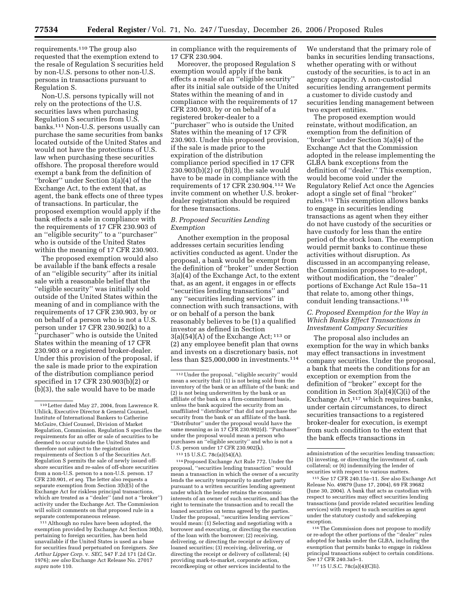requirements.110 The group also requested that the exemption extend to the resale of Regulation S securities held by non-U.S. persons to other non-U.S. persons in transactions pursuant to Regulation S.

Non-U.S. persons typically will not rely on the protections of the U.S. securities laws when purchasing Regulation S securities from U.S. banks.111 Non-U.S. persons usually can purchase the same securities from banks located outside of the United States and would not have the protections of U.S. law when purchasing these securities offshore. The proposal therefore would exempt a bank from the definition of ''broker'' under Section 3(a)(4) of the Exchange Act, to the extent that, as agent, the bank effects one of three types of transactions. In particular, the proposed exemption would apply if the bank effects a sale in compliance with the requirements of 17 CFR 230.903 of an ''eligible security'' to a ''purchaser'' who is outside of the United States within the meaning of 17 CFR 230.903.

The proposed exemption would also be available if the bank effects a resale of an ''eligible security'' after its initial sale with a reasonable belief that the ''eligible security'' was initially sold outside of the United States within the meaning of and in compliance with the requirements of 17 CFR 230.903, by or on behalf of a person who is not a U.S. person under 17 CFR 230.902(k) to a ''purchaser'' who is outside the United States within the meaning of 17 CFR 230.903 or a registered broker-dealer. Under this provision of the proposal, if the sale is made prior to the expiration of the distribution compliance period specified in 17 CFR 230.903(b)(2) or (b)(3), the sale would have to be made

111Although no rules have been adopted, the exemption provided by Exchange Act Section 30(b), pertaining to foreign securities, has been held unavailable if the United States is used as a base for securities fraud perpetuated on foreigners. *See Arthur Lipper Corp.* v. *SEC*, 547 F.2d 171 (2d Cir. 1976); *see also* Exchange Act Release No. 27017 *supra* note 110.

in compliance with the requirements of 17 CFR 230.904.

Moreover, the proposed Regulation S exemption would apply if the bank effects a resale of an ''eligible security'' after its initial sale outside of the United States within the meaning of and in compliance with the requirements of 17 CFR 230.903, by or on behalf of a registered broker-dealer to a ''purchaser'' who is outside the United States within the meaning of 17 CFR 230.903. Under this proposed provision, if the sale is made prior to the expiration of the distribution compliance period specified in 17 CFR 230.903(b)(2) or (b)(3), the sale would have to be made in compliance with the requirements of 17 CFR 230.904.112 We invite comment on whether U.S. brokerdealer registration should be required for these transactions.

## *B. Proposed Securities Lending Exemption*

Another exemption in the proposal addresses certain securities lending activities conducted as agent. Under the proposal, a bank would be exempt from the definition of ''broker'' under Section 3(a)(4) of the Exchange Act, to the extent that, as an agent, it engages in or effects ''securities lending transactions'' and any ''securities lending services'' in connection with such transactions, with or on behalf of a person the bank reasonably believes to be (1) a qualified investor as defined in Section  $3(a)(54)(A)$  of the Exchange Act; <sup>113</sup> or (2) any employee benefit plan that owns and invests on a discretionary basis, not less than \$25,000,000 in investments.114

113 15 U.S.C. 78c(a)(54)(A).

114Proposed Exchange Act Rule 772. Under the proposal, ''securities lending transaction'' would mean a transaction in which the owner of a security lends the security temporarily to another party pursuant to a written securities lending agreement under which the lender retains the economic interests of an owner of such securities, and has the right to terminate the transaction and to recall the loaned securities on terms agreed by the parties. Under the proposal, ''securities lending services'' would mean: (1) Selecting and negotiating with a borrower and executing, or directing the execution of the loan with the borrower; (2) receiving, delivering, or directing the receipt or delivery of loaned securities; (3) receiving, delivering, or directing the receipt or delivery of collateral; (4) providing mark-to-market, corporate action, recordkeeping or other services incidental to the

We understand that the primary role of banks in securities lending transactions, whether operating with or without custody of the securities, is to act in an agency capacity. A non-custodial securities lending arrangement permits a customer to divide custody and securities lending management between two expert entities.

The proposed exemption would reinstate, without modification, an exemption from the definition of ''broker'' under Section 3(a)(4) of the Exchange Act that the Commission adopted in the release implementing the GLBA bank exceptions from the definition of ''dealer.'' This exemption, would become void under the Regulatory Relief Act once the Agencies adopt a single set of final ''broker'' rules.115 This exemption allows banks to engage in securities lending transactions as agent when they either do not have custody of the securities or have custody for less than the entire period of the stock loan. The exemption would permit banks to continue these activities without disruption. As discussed in an accompanying release, the Commission proposes to re-adopt, without modification, the ''dealer'' portions of Exchange Act Rule 15a–11 that relate to, among other things, conduit lending transactions.116

## *C. Proposed Exemption for the Way in Which Banks Effect Transactions in Investment Company Securities*

The proposal also includes an exemption for the way in which banks may effect transactions in investment company securities. Under the proposal, a bank that meets the conditions for an exception or exemption from the definition of ''broker'' except for the condition in Section 3(a)(4)(C)(i) of the Exchange Act,<sup>117</sup> which requires banks, under certain circumstances, to direct securities transactions to a registered broker-dealer for execution, is exempt from such condition to the extent that the bank effects transactions in

115*See* 17 CFR 240.15a–11. *See* also Exchange Act Release No. 49879 (June 17, 2004), 69 FR 39682 (June 30, 2004). A bank that acts as custodian with respect to securities may effect securities lending transactions (and provide related securities lending services) with respect to such securities as agent under the statutory custody and safekeeping exception.

116The Commission does not propose to modify or re-adopt the other portions of the ''dealer'' rules adopted for banks under the GLBA, including the exemption that permits banks to engage in riskless principal transactions subject to certain conditions. *See* 17 CFR 240.3a5–1.

117 15 U.S.C. 78c(a)(4)(C)Ii).

<sup>110</sup>Letter dated May 27, 2004, from Lawrence R. Uhlick, Executive Director & General Counsel, Institute of International Bankers to Catherine McGuire, Chief Counsel, Division of Market Regulation, Commission. Regulation S specifies the requirements for an offer or sale of securities to be deemed to occur outside the United States and therefore not subject to the registration requirements of Section 5 of the Securities Act. Regulation S permits the sale of newly issued offshore securities and re-sales of off-shore securities from a non-U.S. person to a non-U.S. person. 17 CFR 230.901, *et seq.* The letter also requests a separate exemption from Section 3(b)(5) of the Exchange Act for riskless principal transactions, which are treated as a ''dealer'' (and not a ''broker'') activity under the Exchange Act. The Commission will solicit comments on that proposed rule in a separate contemporaneous release.

<sup>112</sup>Under the proposal, ''eligible security'' would mean a security that: (1) is not being sold from the inventory of the bank or an affiliate of the bank; and (2) is not being underwritten by the bank or an affiliate of the bank on a firm-commitment basis, unless the bank acquired the security from an unaffiliated ''distributor'' that did not purchase the security from the bank or an affiliate of the bank. ''Distributor'' under the proposal would have the same meaning as in 17 CFR 230.902(d). ''Purchaser'' under the proposal would mean a person who purchases an ''eligible security'' and who is not a U.S. person under 17 CFR 230.902(k).

administration of the securities lending transaction; (5) investing, or directing the investment of, cash collateral; or (6) indemnifying the lender of securities with respect to various matters.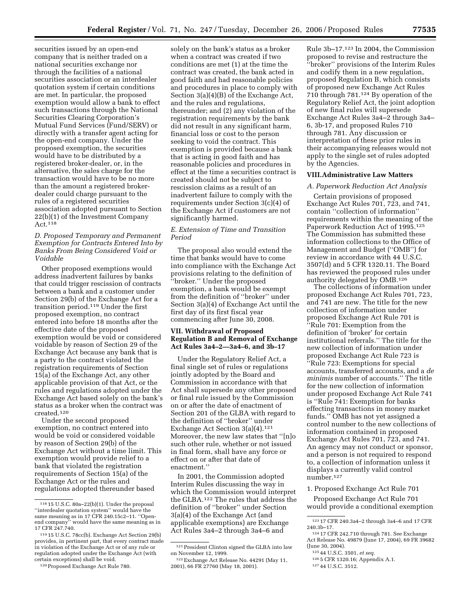securities issued by an open-end company that is neither traded on a national securities exchange nor through the facilities of a national securities association or an interdealer quotation system if certain conditions are met. In particular, the proposed exemption would allow a bank to effect such transactions through the National Securities Clearing Corporation's Mutual Fund Services (Fund/SERV) or directly with a transfer agent acting for the open-end company. Under the proposed exemption, the securities would have to be distributed by a registered broker-dealer, or, in the alternative, the sales charge for the transaction would have to be no more than the amount a registered brokerdealer could charge pursuant to the rules of a registered securities association adopted pursuant to Section 22(b)(1) of the Investment Company Act.118

## *D. Proposed Temporary and Permanent Exemption for Contracts Entered Into by Banks From Being Considered Void or Voidable*

Other proposed exemptions would address inadvertent failures by banks that could trigger rescission of contracts between a bank and a customer under Section 29(b) of the Exchange Act for a transition period.119 Under the first proposed exemption, no contract entered into before 18 months after the effective date of the proposed exemption would be void or considered voidable by reason of Section 29 of the Exchange Act because any bank that is a party to the contract violated the registration requirements of Section 15(a) of the Exchange Act, any other applicable provision of that Act, or the rules and regulations adopted under the Exchange Act based solely on the bank's status as a broker when the contract was created.120

Under the second proposed exemption, no contract entered into would be void or considered voidable by reason of Section 29(b) of the Exchange Act without a time limit. This exemption would provide relief to a bank that violated the registration requirements of Section 15(a) of the Exchange Act or the rules and regulations adopted thereunder based

solely on the bank's status as a broker when a contract was created if two conditions are met (1) at the time the contract was created, the bank acted in good faith and had reasonable policies and procedures in place to comply with Section 3(a)(4)(B) of the Exchange Act, and the rules and regulations, thereunder; and (2) any violation of the registration requirements by the bank did not result in any significant harm, financial loss or cost to the person seeking to void the contract. This exemption is provided because a bank that is acting in good faith and has reasonable policies and procedures in effect at the time a securities contract is created should not be subject to rescission claims as a result of an inadvertent failure to comply with the requirements under Section 3(c)(4) of the Exchange Act if customers are not significantly harmed.

## *E. Extension of Time and Transition Period*

The proposal also would extend the time that banks would have to come into compliance with the Exchange Act provisions relating to the definition of ''broker.'' Under the proposed exemption, a bank would be exempt from the definition of ''broker'' under Section 3(a)(4) of Exchange Act until the first day of its first fiscal year commencing after June 30, 2008.

## **VII. Withdrawal of Proposed Regulation B and Removal of Exchange Act Rules 3a4–2—3a4–6, and 3b–17**

Under the Regulatory Relief Act, a final single set of rules or regulations jointly adopted by the Board and Commission in accordance with that Act shall supersede any other proposed or final rule issued by the Commission on or after the date of enactment of Section 201 of the GLBA with regard to the definition of ''broker'' under Exchange Act Section 3(a)(4).121 Moreover, the new law states that ''[n]o such other rule, whether or not issued in final form, shall have any force or effect on or after that date of enactment.''

In 2001, the Commission adopted Interim Rules discussing the way in which the Commission would interpret the GLBA.122 The rules that address the definition of ''broker'' under Section 3(a)(4) of the Exchange Act (and applicable exemptions) are Exchange Act Rules 3a4–2 through 3a4–6 and

Rule 3b–17.123 In 2004, the Commission proposed to revise and restructure the ''broker'' provisions of the Interim Rules and codify them in a new regulation, proposed Regulation B, which consists of proposed new Exchange Act Rules 710 through 781.124 By operation of the Regulatory Relief Act, the joint adoption of new final rules will supersede Exchange Act Rules 3a4–2 through 3a4– 6, 3b-17, and proposed Rules 710 through 781. Any discussion or interpretation of these prior rules in their accompanying releases would not apply to the single set of rules adopted by the Agencies.

## **VIII.Administrative Law Matters**

## *A. Paperwork Reduction Act Analysis*

Certain provisions of proposed Exchange Act Rules 701, 723, and 741, contain ''collection of information'' requirements within the meaning of the Paperwork Reduction Act of 1995.125 The Commission has submitted these information collections to the Office of Management and Budget (''OMB'') for review in accordance with 44 U.S.C. 3507(d) and 5 CFR 1320.11. The Board has reviewed the proposed rules under authority delegated by OMB.126

The collections of information under proposed Exchange Act Rules 701, 723, and 741 are new. The title for the new collection of information under proposed Exchange Act Rule 701 is ''Rule 701: Exemption from the definition of 'broker' for certain institutional referrals.'' The title for the new collection of information under proposed Exchange Act Rule 723 is ''Rule 723: Exemptions for special accounts, transferred accounts, and a *de minimis* number of accounts.'' The title for the new collection of information under proposed Exchange Act Rule 741 is ''Rule 741: Exemption for banks effecting transactions in money market funds.'' OMB has not yet assigned a control number to the new collections of information contained in proposed Exchange Act Rules 701, 723, and 741. An agency may not conduct or sponsor, and a person is not required to respond to, a collection of information unless it displays a currently valid control number.127

## 1. Proposed Exchange Act Rule 701

Proposed Exchange Act Rule 701 would provide a conditional exemption

 $^{\rm 118}\,15$  U.S.C. 80a–22(b)(1). Under the proposal ''interdealer quotation system'' would have the same meaning as in 17 CFR 240.15c2–11. ''Open-end company'' would have the same meaning as in 17 CFR 247.740.

<sup>119</sup> 15 U.S.C. 78cc(b). Exchange Act Section 29(b) provides, in pertinent part, that every contract made in violation of the Exchange Act or of any rule or regulation adopted under the Exchange Act (with certain exceptions) shall be void.

<sup>120</sup>Proposed Exchange Act Rule 780.

 $^{\rm 121}\mathrm{President}$  Clinton signed the GLBA into law on November 12, 1999.

<sup>122</sup>Exchange Act Release No. 44291 (May 11, 2001), 66 FR 27760 (May 18, 2001).

<sup>123</sup> 17 CFR 240.3a4–2 through 3a4–6 and 17 CFR

<sup>&</sup>lt;sup>124</sup> 17 CFR 242.710 through 781. See Exchange Act Release No. 49879 (June 17, 2004), 69 FR 39682

<sup>125 44</sup> U.S.C. 3501, *et seq.* 

<sup>126</sup> 5 CFR 1320.16; Appendix A.1. 127 44 U.S.C. 3512.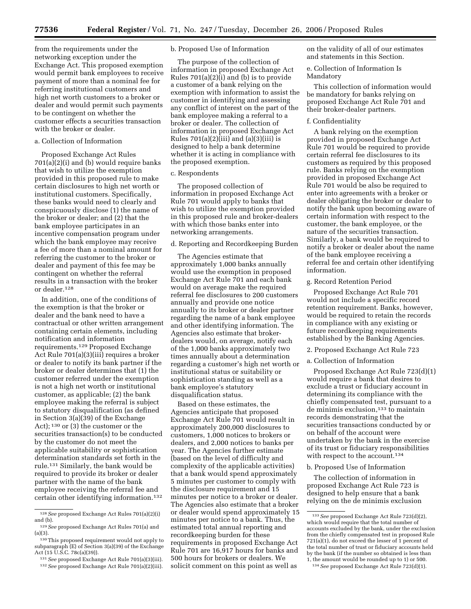from the requirements under the networking exception under the Exchange Act. This proposed exemption would permit bank employees to receive payment of more than a nominal fee for referring institutional customers and high net worth customers to a broker or dealer and would permit such payments to be contingent on whether the customer effects a securities transaction with the broker or dealer.

#### a. Collection of Information

Proposed Exchange Act Rules 701(a)(2)(i) and (b) would require banks that wish to utilize the exemption provided in this proposed rule to make certain disclosures to high net worth or institutional customers. Specifically, these banks would need to clearly and conspicuously disclose (1) the name of the broker or dealer; and (2) that the bank employee participates in an incentive compensation program under which the bank employee may receive a fee of more than a nominal amount for referring the customer to the broker or dealer and payment of this fee may be contingent on whether the referral results in a transaction with the broker or dealer.128

In addition, one of the conditions of the exemption is that the broker or dealer and the bank need to have a contractual or other written arrangement containing certain elements, including notification and information requirements.129 Proposed Exchange Act Rule 701(a)(3)(iii) requires a broker or dealer to notify its bank partner if the broker or dealer determines that (1) the customer referred under the exemption is not a high net worth or institutional customer, as applicable; (2) the bank employee making the referral is subject to statutory disqualification (as defined in Section 3(a)(39) of the Exchange Act); 130 or (3) the customer or the securities transaction(s) to be conducted by the customer do not meet the applicable suitability or sophistication determination standards set forth in the rule.131 Similarly, the bank would be required to provide its broker or dealer partner with the name of the bank employee receiving the referral fee and certain other identifying information.132

b. Proposed Use of Information

The purpose of the collection of information in proposed Exchange Act Rules 701(a)(2)(i) and (b) is to provide a customer of a bank relying on the exemption with information to assist the customer in identifying and assessing any conflict of interest on the part of the bank employee making a referral to a broker or dealer. The collection of information in proposed Exchange Act Rules 701(a)(2)(iii) and (a)(3)(iii) is designed to help a bank determine whether it is acting in compliance with the proposed exemption.

#### c. Respondents

The proposed collection of information in proposed Exchange Act Rule 701 would apply to banks that wish to utilize the exemption provided in this proposed rule and broker-dealers with which those banks enter into networking arrangements.

d. Reporting and Recordkeeping Burden

The Agencies estimate that approximately 1,000 banks annually would use the exemption in proposed Exchange Act Rule 701 and each bank would on average make the required referral fee disclosures to 200 customers annually and provide one notice annually to its broker or dealer partner regarding the name of a bank employee and other identifying information. The Agencies also estimate that brokerdealers would, on average, notify each of the 1,000 banks approximately two times annually about a determination regarding a customer's high net worth or institutional status or suitability or sophistication standing as well as a bank employee's statutory disqualification status.

Based on these estimates, the Agencies anticipate that proposed Exchange Act Rule 701 would result in approximately 200,000 disclosures to customers, 1,000 notices to brokers or dealers, and 2,000 notices to banks per year. The Agencies further estimate (based on the level of difficulty and complexity of the applicable activities) that a bank would spend approximately 5 minutes per customer to comply with the disclosure requirement and 15 minutes per notice to a broker or dealer. The Agencies also estimate that a broker or dealer would spend approximately 15 minutes per notice to a bank. Thus, the estimated total annual reporting and recordkeeping burden for these requirements in proposed Exchange Act Rule 701 are 16,917 hours for banks and 500 hours for brokers or dealers. We solicit comment on this point as well as

on the validity of all of our estimates and statements in this Section.

e. Collection of Information Is Mandatory

This collection of information would be mandatory for banks relying on proposed Exchange Act Rule 701 and their broker-dealer partners.

## f. Confidentiality

A bank relying on the exemption provided in proposed Exchange Act Rule 701 would be required to provide certain referral fee disclosures to its customers as required by this proposed rule. Banks relying on the exemption provided in proposed Exchange Act Rule 701 would be also be required to enter into agreements with a broker or dealer obligating the broker or dealer to notify the bank upon becoming aware of certain information with respect to the customer, the bank employee, or the nature of the securities transaction. Similarly, a bank would be required to notify a broker or dealer about the name of the bank employee receiving a referral fee and certain other identifying information.

#### g. Record Retention Period

Proposed Exchange Act Rule 701 would not include a specific record retention requirement. Banks, however, would be required to retain the records in compliance with any existing or future recordkeeping requirements established by the Banking Agencies.

2. Proposed Exchange Act Rule 723

a. Collection of Information

Proposed Exchange Act Rule 723(d)(1) would require a bank that desires to exclude a trust or fiduciary account in determining its compliance with the chiefly compensated test, pursuant to a de minimis exclusion,<sup>133</sup> to maintain records demonstrating that the securities transactions conducted by or on behalf of the account were undertaken by the bank in the exercise of its trust or fiduciary responsibilities with respect to the account.134

## b. Proposed Use of Information

The collection of information in proposed Exchange Act Rule 723 is designed to help ensure that a bank relying on the de minimis exclusion

<sup>128</sup>*See* proposed Exchange Act Rules 701(a)(2)(i) and (b).

<sup>129</sup>*See* proposed Exchange Act Rules 701(a) and (a)(3).

<sup>130</sup>This proposed requirement would not apply to subparagraph (E) of Section 3(a)(39) of the Exchange Act (15 U.S.C. 78c(a)(39)).

<sup>131</sup>*See* proposed Exchange Act Rule 701(a)(3)(iii). 132*See* proposed Exchange Act Rule 701(a)(2)(iii).

<sup>133</sup>*See* proposed Exchange Act Rule 723(d)(2), which would require that the total number of accounts excluded by the bank, under the exclusion from the chiefly compensated test in proposed Rule 721(a)(1), do not exceed the lesser of 1 percent of the total number of trust or fiduciary accounts held by the bank (if the number so obtained is less than 1, the amount would be rounded up to 1) or 500.

<sup>134</sup>*See* proposed Exchange Act Rule 723(d)(1).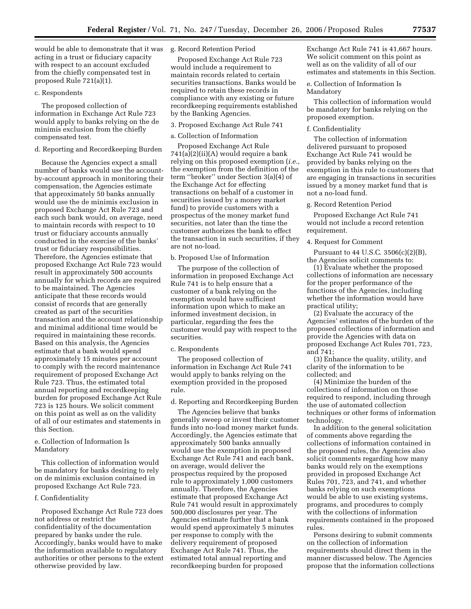would be able to demonstrate that it was acting in a trust or fiduciary capacity with respect to an account excluded from the chiefly compensated test in proposed Rule 721(a)(1).

## c. Respondents

The proposed collection of information in Exchange Act Rule 723 would apply to banks relying on the de minimis exclusion from the chiefly compensated test.

#### d. Reporting and Recordkeeping Burden

Because the Agencies expect a small number of banks would use the accountby-account approach in monitoring their compensation, the Agencies estimate that approximately 50 banks annually would use the de minimis exclusion in proposed Exchange Act Rule 723 and each such bank would, on average, need to maintain records with respect to 10 trust or fiduciary accounts annually conducted in the exercise of the banks' trust or fiduciary responsibilities. Therefore, the Agencies estimate that proposed Exchange Act Rule 723 would result in approximately 500 accounts annually for which records are required to be maintained. The Agencies anticipate that these records would consist of records that are generally created as part of the securities transaction and the account relationship and minimal additional time would be required in maintaining these records. Based on this analysis, the Agencies estimate that a bank would spend approximately 15 minutes per account to comply with the record maintenance requirement of proposed Exchange Act Rule 723. Thus, the estimated total annual reporting and recordkeeping burden for proposed Exchange Act Rule 723 is 125 hours. We solicit comment on this point as well as on the validity of all of our estimates and statements in this Section.

e. Collection of Information Is Mandatory

This collection of information would be mandatory for banks desiring to rely on de minimis exclusion contained in proposed Exchange Act Rule 723.

#### f. Confidentiality

Proposed Exchange Act Rule 723 does not address or restrict the confidentiality of the documentation prepared by banks under the rule. Accordingly, banks would have to make the information available to regulatory authorities or other persons to the extent otherwise provided by law.

## g. Record Retention Period

Proposed Exchange Act Rule 723 would include a requirement to maintain records related to certain securities transactions. Banks would be required to retain these records in compliance with any existing or future recordkeeping requirements established by the Banking Agencies.

## 3. Proposed Exchange Act Rule 741

## a. Collection of Information

Proposed Exchange Act Rule 741(a)(2)(ii)(A) would require a bank relying on this proposed exemption (*i.e.*, the exemption from the definition of the term ''broker'' under Section 3(a)(4) of the Exchange Act for effecting transactions on behalf of a customer in securities issued by a money market fund) to provide customers with a prospectus of the money market fund securities, not later than the time the customer authorizes the bank to effect the transaction in such securities, if they are not no-load.

#### b. Proposed Use of Information

The purpose of the collection of information in proposed Exchange Act Rule 741 is to help ensure that a customer of a bank relying on the exemption would have sufficient information upon which to make an informed investment decision, in particular, regarding the fees the customer would pay with respect to the securities.

#### c. Respondents

The proposed collection of information in Exchange Act Rule 741 would apply to banks relying on the exemption provided in the proposed rule.

## d. Reporting and Recordkeeping Burden

The Agencies believe that banks generally sweep or invest their customer funds into no-load money market funds. Accordingly, the Agencies estimate that approximately 500 banks annually would use the exemption in proposed Exchange Act Rule 741 and each bank, on average, would deliver the prospectus required by the proposed rule to approximately 1,000 customers annually. Therefore, the Agencies estimate that proposed Exchange Act Rule 741 would result in approximately 500,000 disclosures per year. The Agencies estimate further that a bank would spend approximately 5 minutes per response to comply with the delivery requirement of proposed Exchange Act Rule 741. Thus, the estimated total annual reporting and recordkeeping burden for proposed

Exchange Act Rule 741 is 41,667 hours. We solicit comment on this point as well as on the validity of all of our estimates and statements in this Section.

e. Collection of Information Is Mandatory

This collection of information would be mandatory for banks relying on the proposed exemption.

#### f. Confidentiality

The collection of information delivered pursuant to proposed Exchange Act Rule 741 would be provided by banks relying on the exemption in this rule to customers that are engaging in transactions in securities issued by a money market fund that is not a no-load fund.

## g. Record Retention Period

Proposed Exchange Act Rule 741 would not include a record retention requirement.

#### 4. Request for Comment

Pursuant to 44 U.S.C. 3506(c)(2)(B), the Agencies solicit comments to:

(1) Evaluate whether the proposed collections of information are necessary for the proper performance of the functions of the Agencies, including whether the information would have practical utility;

(2) Evaluate the accuracy of the Agencies' estimates of the burden of the proposed collections of information and provide the Agencies with data on proposed Exchange Act Rules 701, 723, and 741;

(3) Enhance the quality, utility, and clarity of the information to be collected; and

(4) Minimize the burden of the collections of information on those required to respond, including through the use of automated collection techniques or other forms of information technology.

In addition to the general solicitation of comments above regarding the collections of information contained in the proposed rules, the Agencies also solicit comments regarding how many banks would rely on the exemptions provided in proposed Exchange Act Rules 701, 723, and 741, and whether banks relying on such exemptions would be able to use existing systems, programs, and procedures to comply with the collections of information requirements contained in the proposed rules.

Persons desiring to submit comments on the collection of information requirements should direct them in the manner discussed below. The Agencies propose that the information collections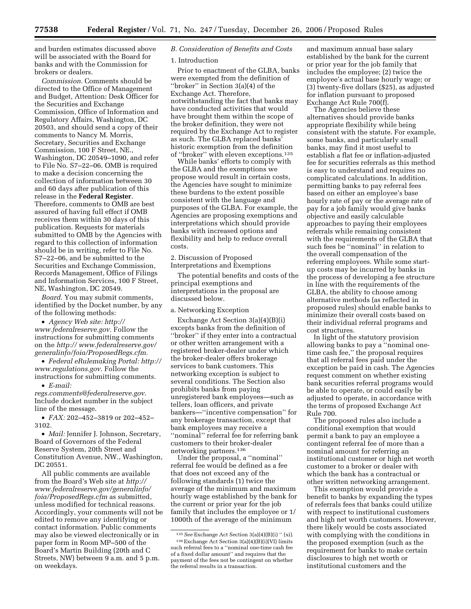and burden estimates discussed above will be associated with the Board for banks and with the Commission for brokers or dealers.

*Commission.* Comments should be directed to the Office of Management and Budget, Attention: Desk Officer for the Securities and Exchange Commission, Office of Information and Regulatory Affairs, Washington, DC 20503, and should send a copy of their comments to Nancy M. Morris, Secretary, Securities and Exchange Commission, 100 F Street, NE., Washington, DC 20549–1090, and refer to File No. S7–22–06. OMB is required to make a decision concerning the collection of information between 30 and 60 days after publication of this release in the **Federal Register**. Therefore, comments to OMB are best assured of having full effect if OMB receives them within 30 days of this publication. Requests for materials submitted to OMB by the Agencies with regard to this collection of information should be in writing, refer to File No. S7–22–06, and be submitted to the Securities and Exchange Commission, Records Management, Office of Filings and Information Services, 100 F Street, NE, Washington, DC 20549.

*Board*. You may submit comments, identified by the Docket number, by any of the following methods:

• *Agency Web site: http:// www.federalreserve.gov.* Follow the instructions for submitting comments on the *http:// www.federalreserve.gov/ generalinfo/foia/ProposedRegs.cfm.* 

• *Federal eRulemaking Portal: http:// www.regulations.gov*. Follow the instructions for submitting comments.

• *E-mail:* 

*regs.comments@federalreserve.gov*. Include docket number in the subject line of the message.

• *FAX:* 202–452–3819 or 202–452– 3102.

• *Mail:* Jennifer J. Johnson, Secretary, Board of Governors of the Federal Reserve System, 20th Street and Constitution Avenue, NW., Washington, DC 20551.

All public comments are available from the Board's Web site at *http:// www.federalreserve.gov/generalinfo/ foia/ProposedRegs.cfm* as submitted, unless modified for technical reasons. Accordingly, your comments will not be edited to remove any identifying or contact information. Public comments may also be viewed electronically or in paper form in Room MP–500 of the Board's Martin Building (20th and C Streets, NW) between 9 a.m. and 5 p.m. on weekdays.

## *B. Consideration of Benefits and Costs*

#### 1. Introduction

Prior to enactment of the GLBA, banks were exempted from the definition of ''broker'' in Section 3(a)(4) of the Exchange Act. Therefore, notwithstanding the fact that banks may have conducted activities that would have brought them within the scope of the broker definition, they were not required by the Exchange Act to register as such. The GLBA replaced banks' historic exemption from the definition of ''broker'' with eleven exceptions.135

While banks' efforts to comply with the GLBA and the exemptions we propose would result in certain costs, the Agencies have sought to minimize these burdens to the extent possible consistent with the language and purposes of the GLBA. For example, the Agencies are proposing exemptions and interpretations which should provide banks with increased options and flexibility and help to reduce overall costs.

2. Discussion of Proposed Interpretations and Exemptions

The potential benefits and costs of the principal exemptions and interpretations in the proposal are discussed below.

#### a. Networking Exception

Exchange Act Section 3(a)(4)(B)(i) excepts banks from the definition of "broker" if they enter into a contractual or other written arrangement with a registered broker-dealer under which the broker-dealer offers brokerage services to bank customers. This networking exception is subject to several conditions. The Section also prohibits banks from paying unregistered bank employees—such as tellers, loan officers, and private bankers—''incentive compensation'' for any brokerage transaction, except that bank employees may receive a ''nominal'' referral fee for referring bank customers to their broker-dealer networking partners.136

Under the proposal, a ''nominal'' referral fee would be defined as a fee that does not exceed any of the following standards (1) twice the average of the minimum and maximum hourly wage established by the bank for the current or prior year for the job family that includes the employee or 1/ 1000th of the average of the minimum

and maximum annual base salary established by the bank for the current or prior year for the job family that includes the employee; (2) twice the employee's actual base hourly wage; or (3) twenty-five dollars (\$25), as adjusted for inflation pursuant to proposed Exchange Act Rule 700(f).

The Agencies believe these alternatives should provide banks appropriate flexibility while being consistent with the statute. For example, some banks, and particularly small banks, may find it most useful to establish a flat fee or inflation-adjusted fee for securities referrals as this method is easy to understand and requires no complicated calculations. In addition, permitting banks to pay referral fees based on either an employee's base hourly rate of pay or the average rate of pay for a job family would give banks objective and easily calculable approaches to paying their employees referrals while remaining consistent with the requirements of the GLBA that such fees be ''nominal'' in relation to the overall compensation of the referring employees. While some startup costs may be incurred by banks in the process of developing a fee structure in line with the requirements of the GLBA, the ability to choose among alternative methods (as reflected in proposed rules) should enable banks to minimize their overall costs based on their individual referral programs and cost structures.

In light of the statutory provision allowing banks to pay a ''nominal onetime cash fee,'' the proposal requires that all referral fees paid under the exception be paid in cash. The Agencies request comment on whether existing bank securities referral programs would be able to operate, or could easily be adjusted to operate, in accordance with the terms of proposed Exchange Act Rule 700.

The proposed rules also include a conditional exemption that would permit a bank to pay an employee a contingent referral fee of more than a nominal amount for referring an institutional customer or high net worth customer to a broker or dealer with which the bank has a contractual or other written networking arrangement.

This exemption would provide a benefit to banks by expanding the types of referrals fees that banks could utilize with respect to institutional customers and high net worth customers. However, there likely would be costs associated with complying with the conditions in the proposed exemption (such as the requirement for banks to make certain disclosures to high net worth or institutional customers and the

<sup>135</sup>*See* Exchange Act Section 3(a)(4)(B)(i) '' (xi). 136Exchange Act Section 3(a)(4)(B)(i)(VI) limits such referral fees to a ''nominal one-time cash fee of a fixed dollar amount'' and requires that the payment of the fees not be contingent on whether the referral results in a transaction.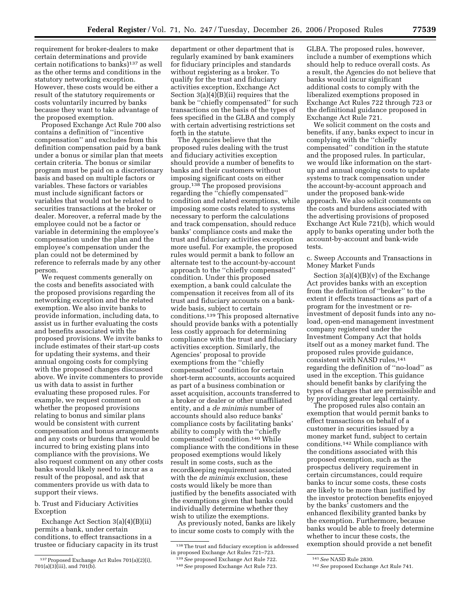requirement for broker-dealers to make certain determinations and provide certain notifications to banks)137 as well as the other terms and conditions in the statutory networking exception. However, these costs would be either a result of the statutory requirements or costs voluntarily incurred by banks because they want to take advantage of the proposed exemption.

Proposed Exchange Act Rule 700 also contains a definition of ''incentive compensation'' and excludes from this definition compensation paid by a bank under a bonus or similar plan that meets certain criteria. The bonus or similar program must be paid on a discretionary basis and based on multiple factors or variables. These factors or variables must include significant factors or variables that would not be related to securities transactions at the broker or dealer. Moreover, a referral made by the employee could not be a factor or variable in determining the employee's compensation under the plan and the employee's compensation under the plan could not be determined by reference to referrals made by any other person.

We request comments generally on the costs and benefits associated with the proposed provisions regarding the networking exception and the related exemption. We also invite banks to provide information, including data, to assist us in further evaluating the costs and benefits associated with the proposed provisions. We invite banks to include estimates of their start-up costs for updating their systems, and their annual ongoing costs for complying with the proposed changes discussed above. We invite commenters to provide us with data to assist in further evaluating these proposed rules. For example, we request comment on whether the proposed provisions relating to bonus and similar plans would be consistent with current compensation and bonus arrangements and any costs or burdens that would be incurred to bring existing plans into compliance with the provisions. We also request comment on any other costs banks would likely need to incur as a result of the proposal, and ask that commenters provide us with data to support their views.

b. Trust and Fiduciary Activities Exception

Exchange Act Section 3(a)(4)(B)(ii) permits a bank, under certain conditions, to effect transactions in a trustee or fiduciary capacity in its trust department or other department that is regularly examined by bank examiners for fiduciary principles and standards without registering as a broker. To qualify for the trust and fiduciary activities exception, Exchange Act Section 3(a)(4)(B)(ii) requires that the bank be ''chiefly compensated'' for such transactions on the basis of the types of fees specified in the GLBA and comply with certain advertising restrictions set forth in the statute.

The Agencies believe that the proposed rules dealing with the trust and fiduciary activities exception should provide a number of benefits to banks and their customers without imposing significant costs on either group.138 The proposed provisions regarding the ''chiefly compensated'' condition and related exemptions, while imposing some costs related to systems necessary to perform the calculations and track compensation, should reduce banks' compliance costs and make the trust and fiduciary activities exception more useful. For example, the proposed rules would permit a bank to follow an alternate test to the account-by-account approach to the ''chiefly compensated'' condition. Under this proposed exemption, a bank could calculate the compensation it receives from all of its trust and fiduciary accounts on a bankwide basis, subject to certain conditions.139 This proposed alternative should provide banks with a potentially less costly approach for determining compliance with the trust and fiduciary activities exception. Similarly, the Agencies' proposal to provide exemptions from the ''chiefly compensated'' condition for certain short-term accounts, accounts acquired as part of a business combination or asset acquisition, accounts transferred to a broker or dealer or other unaffiliated entity, and a *de minimis* number of accounts should also reduce banks' compliance costs by facilitating banks' ability to comply with the ''chiefly compensated'' condition.140 While compliance with the conditions in these proposed exemptions would likely result in some costs, such as the recordkeeping requirement associated with the *de minimis* exclusion, these costs would likely be more than justified by the benefits associated with the exemptions given that banks could individually determine whether they wish to utilize the exemptions.

As previously noted, banks are likely to incur some costs to comply with the

138The trust and fiduciary exception is addressed in proposed Exchange Act Rules 721–723.

139*See* proposed Exchange Act Rule 722. 140*See* proposed Exchange Act Rule 723.

GLBA. The proposed rules, however, include a number of exemptions which should help to reduce overall costs. As a result, the Agencies do not believe that banks would incur significant additional costs to comply with the liberalized exemptions proposed in Exchange Act Rules 722 through 723 or the definitional guidance proposed in Exchange Act Rule 721.

We solicit comment on the costs and benefits, if any, banks expect to incur in complying with the ''chiefly compensated'' condition in the statute and the proposed rules. In particular, we would like information on the startup and annual ongoing costs to update systems to track compensation under the account-by-account approach and under the proposed bank-wide approach. We also solicit comments on the costs and burdens associated with the advertising provisions of proposed Exchange Act Rule 721(b), which would apply to banks operating under both the account-by-account and bank-wide tests.

c. Sweep Accounts and Transactions in Money Market Funds

Section  $3(a)(4)(B)(v)$  of the Exchange Act provides banks with an exception from the definition of ''broker'' to the extent it effects transactions as part of a program for the investment or reinvestment of deposit funds into any noload, open-end management investment company registered under the Investment Company Act that holds itself out as a money market fund. The proposed rules provide guidance, consistent with NASD rules,<sup>141</sup> regarding the definition of ''no-load'' as used in the exception. This guidance should benefit banks by clarifying the types of charges that are permissible and by providing greater legal certainty.

The proposed rules also contain an exemption that would permit banks to effect transactions on behalf of a customer in securities issued by a money market fund, subject to certain conditions.142 While compliance with the conditions associated with this proposed exemption, such as the prospectus delivery requirement in certain circumstances, could require banks to incur some costs, these costs are likely to be more than justified by the investor protection benefits enjoyed by the banks' customers and the enhanced flexibility granted banks by the exemption. Furthermore, because banks would be able to freely determine whether to incur these costs, the exemption should provide a net benefit

<sup>137</sup>Proposed Exchange Act Rules 701(a)(2)(i), 701(a)(3)(iii), and 701(b).

<sup>141</sup>*See* NASD Rule 2830.

<sup>142</sup>*See* proposed Exchange Act Rule 741.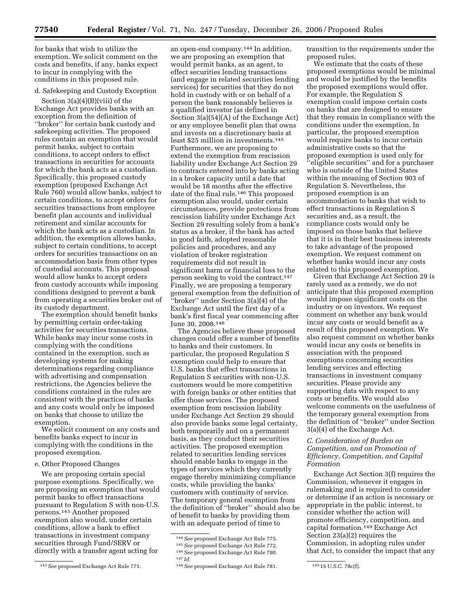for banks that wish to utilize the exemption. We solicit comment on the costs and benefits, if any, banks expect to incur in complying with the conditions in this proposed rule.

## d. Safekeeping and Custody Exception

Section 3(a)(4)(B)(viii) of the Exchange Act provides banks with an exception from the definition of ''broker'' for certain bank custody and safekeeping activities. The proposed rules contain an exemption that would permit banks, subject to certain conditions, to accept orders to effect transactions in securities for accounts for which the bank acts as a custodian. Specifically, this proposed custody exemption (proposed Exchange Act Rule 760) would allow banks, subject to certain conditions, to accept orders for securities transactions from employee benefit plan accounts and individual retirement and similar accounts for which the bank acts as a custodian. In addition, the exemption allows banks, subject to certain conditions, to accept orders for securities transactions on an accommodation basis from other types of custodial accounts. This proposal would allow banks to accept orders from custody accounts while imposing conditions designed to prevent a bank from operating a securities broker out of its custody department.

The exemption should benefit banks by permitting certain order-taking activities for securities transactions. While banks may incur some costs in complying with the conditions contained in the exemption, such as developing systems for making determinations regarding compliance with advertising and compensation restrictions, the Agencies believe the conditions contained in the rules are consistent with the practices of banks and any costs would only be imposed on banks that choose to utilize the exemption.

We solicit comment on any costs and benefits banks expect to incur in complying with the conditions in the proposed exemption.

## e. Other Proposed Changes

We are proposing certain special purpose exemptions. Specifically, we are proposing an exemption that would permit banks to effect transactions pursuant to Regulation S with non-U.S. persons.143 Another proposed exemption also would, under certain conditions, allow a bank to effect transactions in investment company securities through Fund/SERV or directly with a transfer agent acting for

an open-end company.144 In addition, we are proposing an exemption that would permit banks, as an agent, to effect securities lending transactions (and engage in related securities lending services) for securities that they do not hold in custody with or on behalf of a person the bank reasonably believes is a qualified investor (as defined in Section 3(a)(54)(A) of the Exchange Act) or any employee benefit plan that owns and invests on a discretionary basis at least \$25 million in investments.145 Furthermore, we are proposing to extend the exemption from rescission liability under Exchange Act Section 29 to contracts entered into by banks acting in a broker capacity until a date that would be 18 months after the effective date of the final rule.<sup>146</sup> This proposed exemption also would, under certain circumstances, provide protections from rescission liability under Exchange Act Section 29 resulting solely from a bank's status as a broker, if the bank has acted in good faith, adopted reasonable policies and procedures, and any violation of broker registration requirements did not result in significant harm or financial loss to the person seeking to void the contract.147 Finally, we are proposing a temporary general exemption from the definition of ''broker'' under Section 3(a)(4) of the Exchange Act until the first day of a bank's first fiscal year commencing after June 30, 2008.148

The Agencies believe these proposed changes could offer a number of benefits to banks and their customers. In particular, the proposed Regulation S exemption could help to ensure that U.S. banks that effect transactions in Regulation S securities with non-U.S. customers would be more competitive with foreign banks or other entities that offer those services. The proposed exemption from rescission liability under Exchange Act Section 29 should also provide banks some legal certainty, both temporarily and on a permanent basis, as they conduct their securities activities. The proposed exemption related to securities lending services should enable banks to engage in the types of services which they currently engage thereby minimizing compliance costs, while providing the banks' customers with continuity of service. The temporary general exemption from the definition of ''broker'' should also be of benefit to banks by providing them with an adequate period of time to

transition to the requirements under the proposed rules.

We estimate that the costs of these proposed exemptions would be minimal and would be justified by the benefits the proposed exemptions would offer. For example, the Regulation S exemption could impose certain costs on banks that are designed to ensure that they remain in compliance with the conditions under the exemption. In particular, the proposed exemption would require banks to incur certain administrative costs so that the proposed exemption is used only for ''eligible securities'' and for a purchaser who is outside of the United States within the meaning of Section 903 of Regulation S. Nevertheless, the proposed exemption is an accommodation to banks that wish to effect transactions in Regulation S securities and, as a result, the compliance costs would only be imposed on those banks that believe that it is in their best business interests to take advantage of the proposed exemption. We request comment on whether banks would incur any costs related to this proposed exemption.

Given that Exchange Act Section 29 is rarely used as a remedy, we do not anticipate that this proposed exemption would impose significant costs on the industry or on investors. We request comment on whether any bank would incur any costs or would benefit as a result of this proposed exemption. We also request comment on whether banks would incur any costs or benefits in association with the proposed exemptions concerning securities lending services and effecting transactions in investment company securities. Please provide any supporting data with respect to any costs or benefits. We would also welcome comments on the usefulness of the temporary general exemption from the definition of ''broker'' under Section 3(a)(4) of the Exchange Act.

## *C. Consideration of Burden on Competition, and on Promotion of Efficiency, Competition, and Capital Formation*

Exchange Act Section 3(f) requires the Commission, whenever it engages in rulemaking and is required to consider or determine if an action is necessary or appropriate in the public interest, to consider whether the action will promote efficiency, competition, and capital formation.<sup>149</sup> Exchange Act Section 23(a)(2) requires the Commission, in adopting rules under that Act, to consider the impact that any

<sup>143</sup>*See* proposed Exchange Act Rule 771.

<sup>144</sup>*See* proposed Exchange Act Rule 775. 145*See* proposed Exchange Act Rule 772.

<sup>146</sup>*See* proposed Exchange Act Rule 780.

<sup>147</sup> *Id.* 

<sup>148</sup>*See* proposed Exchange Act Rule 781. 149 15 U.S.C. 78c(f).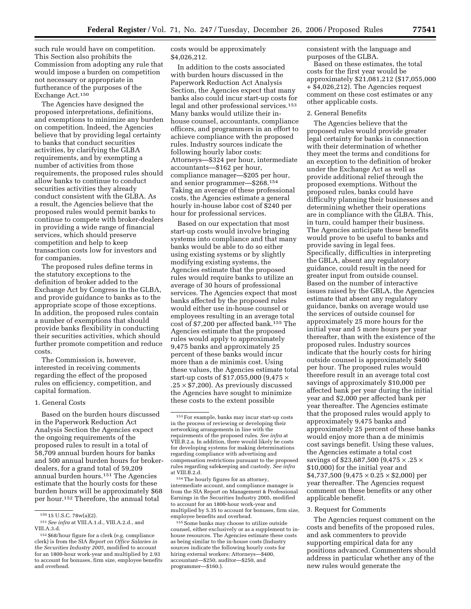such rule would have on competition. This Section also prohibits the Commission from adopting any rule that would impose a burden on competition not necessary or appropriate in furtherance of the purposes of the Exchange Act.150

The Agencies have designed the proposed interpretations, definitions, and exemptions to minimize any burden on competition. Indeed, the Agencies believe that by providing legal certainty to banks that conduct securities activities, by clarifying the GLBA requirements, and by exempting a number of activities from those requirements, the proposed rules should allow banks to continue to conduct securities activities they already conduct consistent with the GLBA. As a result, the Agencies believe that the proposed rules would permit banks to continue to compete with broker-dealers in providing a wide range of financial services, which should preserve competition and help to keep transaction costs low for investors and for companies.

The proposed rules define terms in the statutory exceptions to the definition of broker added to the Exchange Act by Congress in the GLBA, and provide guidance to banks as to the appropriate scope of those exceptions. In addition, the proposed rules contain a number of exemptions that should provide banks flexibility in conducting their securities activities, which should further promote competition and reduce costs.

The Commission is, however, interested in receiving comments regarding the effect of the proposed rules on efficiency, competition, and capital formation.

#### 1. General Costs

Based on the burden hours discussed in the Paperwork Reduction Act Analysis Section the Agencies expect the ongoing requirements of the proposed rules to result in a total of 58,709 annual burden hours for banks and 500 annual burden hours for brokerdealers, for a grand total of 59,209 annual burden hours.151 The Agencies estimate that the hourly costs for these burden hours will be approximately \$68 per hour.152 Therefore, the annual total

costs would be approximately \$4,026,212.

In addition to the costs associated with burden hours discussed in the Paperwork Reduction Act Analysis Section, the Agencies expect that many banks also could incur start-up costs for legal and other professional services.153 Many banks would utilize their inhouse counsel, accountants, compliance officers, and programmers in an effort to achieve compliance with the proposed rules. Industry sources indicate the following hourly labor costs: Attorneys—\$324 per hour, intermediate accountants—\$162 per hour, compliance manager—\$205 per hour, and senior programmer—\$268.154 Taking an average of these professional costs, the Agencies estimate a general hourly in-house labor cost of \$240 per hour for professional services.

Based on our expectation that most start-up costs would involve bringing systems into compliance and that many banks would be able to do so either using existing systems or by slightly modifying existing systems, the Agencies estimate that the proposed rules would require banks to utilize an average of 30 hours of professional services. The Agencies expect that most banks affected by the proposed rules would either use in-house counsel or employees resulting in an average total cost of \$7,200 per affected bank.<sup>155</sup> The Agencies estimate that the proposed rules would apply to approximately 9,475 banks and approximately 25 percent of these banks would incur more than a de minimis cost. Using these values, the Agencies estimate total start-up costs of \$17,055,000 (9,475  $\times$  $.25 \times $7,200$ . As previously discussed the Agencies have sought to minimize these costs to the extent possible

consistent with the language and purposes of the GLBA.

Based on these estimates, the total costs for the first year would be approximately \$21,081,212 (\$17,055,000 + \$4,026,212). The Agencies request comment on these cost estimates or any other applicable costs.

## 2. General Benefits

The Agencies believe that the proposed rules would provide greater legal certainty for banks in connection with their determination of whether they meet the terms and conditions for an exception to the definition of broker under the Exchange Act as well as provide additional relief through the proposed exemptions. Without the proposed rules, banks could have difficulty planning their businesses and determining whether their operations are in compliance with the GLBA. This, in turn, could hamper their business. The Agencies anticipate these benefits would prove to be useful to banks and provide saving in legal fees. Specifically, difficulties in interpreting the GBLA, absent any regulatory guidance, could result in the need for greater input from outside counsel. Based on the number of interactive issues raised by the GBLA, the Agencies estimate that absent any regulatory guidance, banks on average would use the services of outside counsel for approximately 25 more hours for the initial year and 5 more hours per year thereafter, than with the existence of the proposed rules. Industry sources indicate that the hourly costs for hiring outside counsel is approximately \$400 per hour. The proposed rules would therefore result in an average total cost savings of approximately \$10,000 per affected bank per year during the initial year and \$2,000 per affected bank per year thereafter. The Agencies estimate that the proposed rules would apply to approximately 9,475 banks and approximately 25 percent of these banks would enjoy more than a de minimis cost savings benefit. Using these values, the Agencies estimate a total cost savings of \$23,687,500 (9,475 × .25 × \$10,000) for the initial year and  $$4,737,500$  (9,475  $\times$  0.25  $\times$  \$2,000) per year thereafter. The Agencies request comment on these benefits or any other applicable benefit.

#### 3. Request for Comments

The Agencies request comment on the costs and benefits of the proposed rules, and ask commenters to provide supporting empirical data for any positions advanced. Commenters should address in particular whether any of the new rules would generate the

<sup>150</sup> 15 U.S.C. 78w(a)(2).

<sup>151</sup>*See infra* at VIII.A.1.d., VIII.A.2.d., and VIII.A.3.d.

<sup>152</sup> \$68/hour figure for a clerk (e.g. compliance clerk) is from the SIA *Report on Office Salaries in the Securities Industry 2005,* modified to account for an 1800-hour work-year and multiplied by 2.93 to account for bonuses, firm size, employee benefits and overhead.

<sup>153</sup>For example, banks may incur start-up costs in the process of reviewing or developing their networking arrangements in line with the requirements of the proposed rules. *See infra* at VIII.B.2.a. In addition, there would likely be costs for developing systems for making determinations regarding compliance with advertising and compensation restrictions pursuant to the proposed rules regarding safekeeping and custody. *See infra*  at VIII.B.2.d.

<sup>154</sup>The hourly figures for an attorney, intermediate account, and compliance manager is from the SIA Report on Management & Professional Earnings in the Securities Industry 2005, modified to account for an 1800-hour work-year and multiplied by 5.35 to account for bonuses, firm size, employee benefits and overhead.

<sup>155</sup>Some banks may choose to utilize outside counsel, either exclusively or as a supplement to inhouse resources. The Agencies estimate these costs as being similar to the in-house costs (Industry sources indicate the following hourly costs for hiring external workers: Attorneys—\$400, accountant—\$250, auditor—\$250, and programmer—\$160.).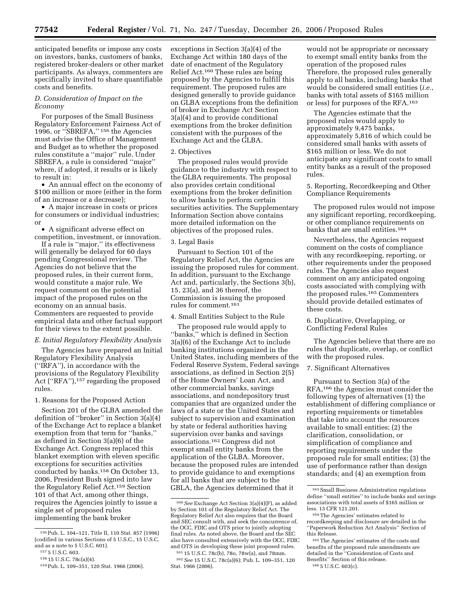anticipated benefits or impose any costs on investors, banks, customers of banks, registered broker-dealers or other market participants. As always, commenters are specifically invited to share quantifiable costs and benefits.

#### *D. Consideration of Impact on the Economy*

For purposes of the Small Business Regulatory Enforcement Fairness Act of 1996, or ''SBREFA,'' 156 the Agencies must advise the Office of Management and Budget as to whether the proposed rules constitute a ''major'' rule. Under SBREFA, a rule is considered ''major'' where, if adopted, it results or is likely to result in:

• An annual effect on the economy of \$100 million or more (either in the form of an increase or a decrease);

• A major increase in costs or prices for consumers or individual industries; or

• A significant adverse effect on competition, investment, or innovation.

If a rule is ''major,'' its effectiveness will generally be delayed for 60 days pending Congressional review. The Agencies do not believe that the proposed rules, in their current form, would constitute a major rule. We request comment on the potential impact of the proposed rules on the economy on an annual basis. Commenters are requested to provide empirical data and other factual support for their views to the extent possible.

#### *E. Initial Regulatory Flexibility Analysis*

The Agencies have prepared an Initial Regulatory Flexibility Analysis (''IRFA''), in accordance with the provisions of the Regulatory Flexibility Act (''RFA''),157 regarding the proposed rules.

#### 1. Reasons for the Proposed Action

Section 201 of the GLBA amended the definition of ''broker'' in Section 3(a)(4) of the Exchange Act to replace a blanket exemption from that term for ''banks,'' as defined in Section 3(a)(6) of the Exchange Act. Congress replaced this blanket exemption with eleven specific exceptions for securities activities conducted by banks.158 On October 13, 2006, President Bush signed into law the Regulatory Relief Act.159 Section 101 of that Act, among other things, requires the Agencies jointly to issue a single set of proposed rules implementing the bank broker

exceptions in Section 3(a)(4) of the Exchange Act within 180 days of the date of enactment of the Regulatory Relief Act.160 These rules are being proposed by the Agencies to fulfill this requirement. The proposed rules are designed generally to provide guidance on GLBA exceptions from the definition of broker in Exchange Act Section 3(a)(4) and to provide conditional exemptions from the broker definition consistent with the purposes of the Exchange Act and the GLBA.

#### 2. Objectives

The proposed rules would provide guidance to the industry with respect to the GLBA requirements. The proposal also provides certain conditional exemptions from the broker definition to allow banks to perform certain securities activities. The Supplementary Information Section above contains more detailed information on the objectives of the proposed rules.

#### 3. Legal Basis

Pursuant to Section 101 of the Regulatory Relief Act, the Agencies are issuing the proposed rules for comment. In addition, pursuant to the Exchange Act and, particularly, the Sections 3(b), 15, 23(a), and 36 thereof, the Commission is issuing the proposed rules for comment.161

#### 4. Small Entities Subject to the Rule

The proposed rule would apply to ''banks,'' which is defined in Section 3(a)(6) of the Exchange Act to include banking institutions organized in the United States, including members of the Federal Reserve System, Federal savings associations, as defined in Section 2(5) of the Home Owners' Loan Act, and other commercial banks, savings associations, and nondepository trust companies that are organized under the laws of a state or the United States and subject to supervision and examination by state or federal authorities having supervision over banks and savings associations.162 Congress did not exempt small entity banks from the application of the GLBA. Moreover, because the proposed rules are intended to provide guidance to and exemptions for all banks that are subject to the GBLA, the Agencies determined that it

would not be appropriate or necessary to exempt small entity banks from the operation of the proposed rules Therefore, the proposed rules generally apply to all banks, including banks that would be considered small entities (*i.e.*, banks with total assets of \$165 million or less) for purposes of the RFA.163

The Agencies estimate that the proposed rules would apply to approximately 9,475 banks, approximately 5,816 of which could be considered small banks with assets of \$165 million or less. We do not anticipate any significant costs to small entity banks as a result of the proposed rules.

5. Reporting, Recordkeeping and Other Compliance Requirements

The proposed rules would not impose any significant reporting, recordkeeping, or other compliance requirements on banks that are small entities.164

Nevertheless, the Agencies request comment on the costs of compliance with any recordkeeping, reporting, or other requirements under the proposed rules. The Agencies also request comment on any anticipated ongoing costs associated with complying with the proposed rules.165 Commenters should provide detailed estimates of these costs.

6. Duplicative, Overlapping, or Conflicting Federal Rules

The Agencies believe that there are no rules that duplicate, overlap, or conflict with the proposed rules.

#### 7. Significant Alternatives

Pursuant to Section 3(a) of the RFA,166 the Agencies must consider the following types of alternatives (1) the establishment of differing compliance or reporting requirements or timetables that take into account the resources available to small entities; (2) the clarification, consolidation, or simplification of compliance and reporting requirements under the proposed rule for small entities; (3) the use of performance rather than design standards; and (4) an exemption from

<sup>156</sup>Pub. L. 104–121, Title II, 110 Stat. 857 (1996) (codified in various Sections of 5 U.S.C., 15 U.S.C. and as a note to 5 U.S.C. 601).

<sup>157</sup> 5 U.S.C. 603.

<sup>158</sup> 15 U.S.C. 78c(a)(4).

<sup>159</sup>Pub. L. 109–351, 120 Stat. 1966 (2006).

<sup>160</sup>*See* Exchange Act Section 3(a)(4)(F), as added by Section 101 of the Regulatory Relief Act. The Regulatory Relief Act also requires that the Board and SEC consult with, and seek the concurrence of, the OCC, FDIC and OTS prior to jointly adopting final rules. As noted above, the Board and the SEC also have consulted extensively with the OCC, FDIC and OTS in developing these joint proposed rules.

<sup>161</sup> 15 U.S.C. 78c(b), 78o, 78w(a), and 78mm.

<sup>162</sup>*See* 15 U.S.C. 78c(a)(6); Pub. L. 109–351, 120 Stat. 1966 (2006).

<sup>163</sup>Small Business Administration regulations define ''small entities'' to include banks and savings associations with total assets of \$165 million or less. 13 CFR 121.201.

<sup>164</sup>The Agencies' estimates related to recordkeeping and disclosure are detailed in the ''Paperwork Reduction Act Analysis'' Section of this Release.

<sup>165</sup>The Agencies' estimates of the costs and benefits of the proposed rule amendments are detailed in the ''Consideration of Costs and Benefits'' Section of this release. 166 5 U.S.C. 603(c).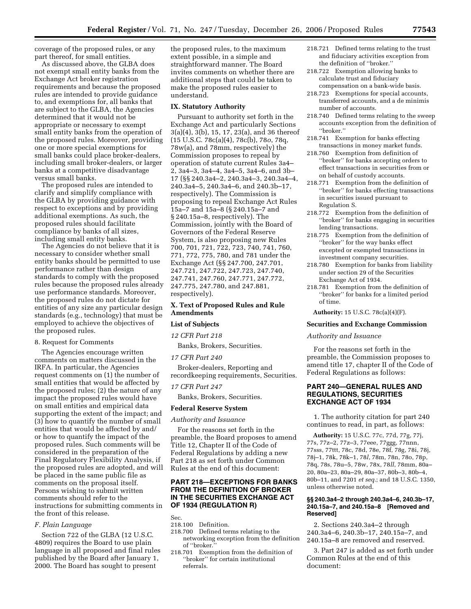coverage of the proposed rules, or any part thereof, for small entities.

As discussed above, the GLBA does not exempt small entity banks from the Exchange Act broker registration requirements and because the proposed rules are intended to provide guidance to, and exemptions for, all banks that are subject to the GLBA, the Agencies determined that it would not be appropriate or necessary to exempt small entity banks from the operation of the proposed rules. Moreover, providing one or more special exemptions for small banks could place broker-dealers, including small broker-dealers, or larger banks at a competitive disadvantage versus small banks.

The proposed rules are intended to clarify and simplify compliance with the GLBA by providing guidance with respect to exceptions and by providing additional exemptions. As such, the proposed rules should facilitate compliance by banks of all sizes, including small entity banks.

The Agencies do not believe that it is necessary to consider whether small entity banks should be permitted to use performance rather than design standards to comply with the proposed rules because the proposed rules already use performance standards. Moreover, the proposed rules do not dictate for entities of any size any particular design standards (e.g., technology) that must be employed to achieve the objectives of the proposed rules.

#### 8. Request for Comments

The Agencies encourage written comments on matters discussed in the IRFA. In particular, the Agencies request comments on (1) the number of small entities that would be affected by the proposed rules; (2) the nature of any impact the proposed rules would have on small entities and empirical data supporting the extent of the impact; and (3) how to quantify the number of small entities that would be affected by and/ or how to quantify the impact of the proposed rules. Such comments will be considered in the preparation of the Final Regulatory Flexibility Analysis, if the proposed rules are adopted, and will be placed in the same public file as comments on the proposal itself. Persons wishing to submit written comments should refer to the instructions for submitting comments in the front of this release.

#### *F. Plain Language*

Section 722 of the GLBA (12 U.S.C. 4809) requires the Board to use plain language in all proposed and final rules published by the Board after January 1, 2000. The Board has sought to present

the proposed rules, to the maximum extent possible, in a simple and straightforward manner. The Board invites comments on whether there are additional steps that could be taken to make the proposed rules easier to understand.

#### **IX. Statutory Authority**

Pursuant to authority set forth in the Exchange Act and particularly Sections 3(a)(4), 3(b), 15, 17, 23(a), and 36 thereof (15 U.S.C. 78c(a)(4), 78c(b), 78*o*, 78q, 78w(a), and 78mm, respectively) the Commission proposes to repeal by operation of statute current Rules 3a4– 2, 3a4–3, 3a4–4, 3a4–5, 3a4–6, and 3b– 17 (§§ 240.3a4–2, 240.3a4–3, 240.3a4–4, 240.3a4–5, 240.3a4–6, and 240.3b–17, respectively). The Commission is proposing to repeal Exchange Act Rules 15a–7 and 15a–8 (§ 240.15a–7 and § 240.15a–8, respectively). The Commission, jointly with the Board of Governors of the Federal Reserve System, is also proposing new Rules 700, 701, 721, 722, 723, 740, 741, 760, 771, 772, 775, 780, and 781 under the Exchange Act (§§ 247.700, 247.701, 247.721, 247.722, 247.723, 247.740, 247.741, 247.760, 247.771, 247.772, 247.775, 247.780, and 247.881, respectively).

## **X. Text of Proposed Rules and Rule Amendments**

## **List of Subjects**

*12 CFR Part 218* 

Banks, Brokers, Securities.

*17 CFR Part 240* 

Broker-dealers, Reporting and recordkeeping requirements, Securities.

#### *17 CFR Part 247*

Banks, Brokers, Securities.

#### **Federal Reserve System**

*Authority and Issuance* 

For the reasons set forth in the preamble, the Board proposes to amend Title 12, Chapter II of the Code of Federal Regulations by adding a new Part 218 as set forth under Common Rules at the end of this document:

## **PART 218—EXCEPTIONS FOR BANKS FROM THE DEFINITION OF BROKER IN THE SECURITIES EXCHANGE ACT OF 1934 (REGULATION R)**

Sec.

## 218.100 Definition.

- 218.700 Defined terms relating to the networking exception from the definition of ''broker.''
- 218.701 Exemption from the definition of ''broker'' for certain institutional referrals.
- 218.721 Defined terms relating to the trust and fiduciary activities exception from the definition of ''broker.''
- 218.722 Exemption allowing banks to calculate trust and fiduciary compensation on a bank-wide basis.
- 218.723 Exemptions for special accounts, transferred accounts, and a de minimis number of accounts.
- 218.740 Defined terms relating to the sweep accounts exception from the definition of ''broker.''
- 218.741 Exemption for banks effecting transactions in money market funds.
- 218.760 Exemption from definition of ''broker'' for banks accepting orders to effect transactions in securities from or on behalf of custody accounts.
- 218.771 Exemption from the definition of ''broker'' for banks effecting transactions in securities issued pursuant to Regulation S.
- 218.772 Exemption from the definition of ''broker'' for banks engaging in securities lending transactions.
- 218.775 Exemption from the definition of ''broker'' for the way banks effect excepted or exempted transactions in investment company securities.
- 218.780 Exemption for banks from liability under section 29 of the Securities Exchange Act of 1934.
- 218.781 Exemption from the definition of ''broker'' for banks for a limited period of time.

**Authority:** 15 U.S.C. 78c(a)(4)(F).

#### **Securities and Exchange Commission**

#### *Authority and Issuance*

For the reasons set forth in the preamble, the Commission proposes to amend title 17, chapter II of the Code of Federal Regulations as follows:

## **PART 240—GENERAL RULES AND REGULATIONS, SECURITIES EXCHANGE ACT OF 1934**

1. The authority citation for part 240 continues to read, in part, as follows:

**Authority:** 15 U.S.C. 77c, 77d, 77g, 77j, 77s, 77z–2, 77z–3, 77eee, 77ggg, 77nnn, 77sss, 77ttt, 78c, 78d, 78e, 78f, 78g, 78i, 78j, 78j–1, 78k, 78k–1, 78*l*, 78m, 78n, 78o, 78p, 78q, 78s, 78u–5, 78w, 78x, 78*ll*, 78mm, 80a– 20, 80a–23, 80a–29, 80a–37, 80b–3, 80b–4, 80b–11, and 7201 *et seq.*; and 18 U.S.C. 1350, unless otherwise noted.

#### **§§ 240.3a4–2 through 240.3a4–6, 240.3b–17, 240.15a–7, and 240.15a–8 [Removed and Reserved]**

2. Sections 240.3a4–2 through 240.3a4–6, 240.3b–17, 240.15a–7, and 240.15a–8 are removed and reserved.

3. Part 247 is added as set forth under Common Rules at the end of this document: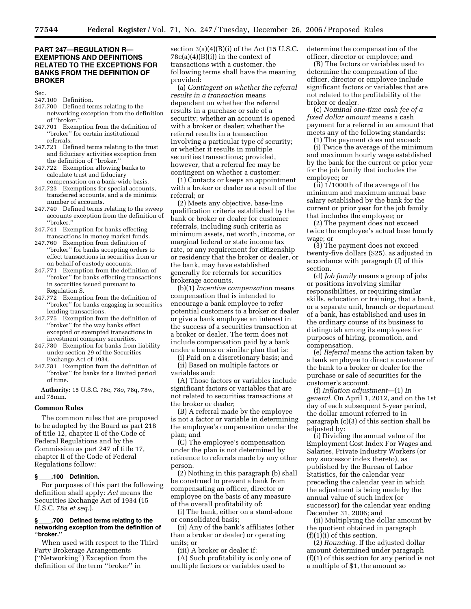## **PART 247—REGULATION R— EXEMPTIONS AND DEFINITIONS RELATED TO THE EXCEPTIONS FOR BANKS FROM THE DEFINITION OF BROKER**

Sec.

- 247.100 Definition.
- 247.700 Defined terms relating to the networking exception from the definition of ''broker.''
- 247.701 Exemption from the definition of ''broker'' for certain institutional referrals.
- 247.721 Defined terms relating to the trust and fiduciary activities exception from the definition of ''broker.''
- 247.722 Exemption allowing banks to calculate trust and fiduciary compensation on a bank-wide basis.
- 247.723 Exemptions for special accounts, transferred accounts, and a de minimis number of accounts.
- 247.740 Defined terms relating to the sweep accounts exception from the definition of ''broker.''
- 247.741 Exemption for banks effecting transactions in money market funds.
- 247.760 Exemption from definition of ''broker'' for banks accepting orders to effect transactions in securities from or on behalf of custody accounts.
- 247.771 Exemption from the definition of "broker" for banks effecting transactions in securities issued pursuant to Regulation S.
- 247.772 Exemption from the definition of ''broker'' for banks engaging in securities lending transactions.
- 247.775 Exemption from the definition of ''broker'' for the way banks effect excepted or exempted transactions in investment company securities.
- 247.780 Exemption for banks from liability under section 29 of the Securities Exchange Act of 1934.
- 247.781 Exemption from the definition of ''broker'' for banks for a limited period of time.

**Authority:** 15 U.S.C. 78c, 78*o*, 78q, 78w, and 78mm.

#### **Common Rules**

The common rules that are proposed to be adopted by the Board as part 218 of title 12, chapter II of the Code of Federal Regulations and by the Commission as part 247 of title 17, chapter II of the Code of Federal Regulations follow:

## **§**ll**.100 Definition.**

For purposes of this part the following definition shall apply: *Act* means the Securities Exchange Act of 1934 (15 U.S.C. 78a *et seq.*).

# § \_\_\_.700 Defined terms relating to the<br>networking exception from the definition of **''broker.''**

When used with respect to the Third Party Brokerage Arrangements (''Networking'') Exception from the definition of the term ''broker'' in

section  $3(a)(4)(B)(i)$  of the Act (15 U.S.C.  $78c(a)(4)(B)(i)$  in the context of transactions with a customer, the following terms shall have the meaning provided:

(a) *Contingent on whether the referral results in a transaction* means dependent on whether the referral results in a purchase or sale of a security; whether an account is opened with a broker or dealer; whether the referral results in a transaction involving a particular type of security; or whether it results in multiple securities transactions; provided, however, that a referral fee may be contingent on whether a customer:

(1) Contacts or keeps an appointment with a broker or dealer as a result of the referral; or

(2) Meets any objective, base-line qualification criteria established by the bank or broker or dealer for customer referrals, including such criteria as minimum assets, net worth, income, or marginal federal or state income tax rate, or any requirement for citizenship or residency that the broker or dealer, or the bank, may have established generally for referrals for securities brokerage accounts.

(b)(1) *Incentive compensation* means compensation that is intended to encourage a bank employee to refer potential customers to a broker or dealer or give a bank employee an interest in the success of a securities transaction at a broker or dealer. The term does not include compensation paid by a bank under a bonus or similar plan that is:

(i) Paid on a discretionary basis; and (ii) Based on multiple factors or

variables and: (A) Those factors or variables include significant factors or variables that are

not related to securities transactions at the broker or dealer; (B) A referral made by the employee

is not a factor or variable in determining the employee's compensation under the plan; and

(C) The employee's compensation under the plan is not determined by reference to referrals made by any other person.

(2) Nothing in this paragraph (b) shall be construed to prevent a bank from compensating an officer, director or employee on the basis of any measure of the overall profitability of:

(i) The bank, either on a stand-alone or consolidated basis;

(ii) Any of the bank's affiliates (other than a broker or dealer) or operating units; or

(iii) A broker or dealer if:

(A) Such profitability is only one of multiple factors or variables used to

determine the compensation of the officer, director or employee; and

(B) The factors or variables used to determine the compensation of the officer, director or employee include significant factors or variables that are not related to the profitability of the broker or dealer.

(c) *Nominal one-time cash fee of a fixed dollar amount* means a cash payment for a referral in an amount that meets any of the following standards:

(1) The payment does not exceed:

(i) Twice the average of the minimum and maximum hourly wage established by the bank for the current or prior year for the job family that includes the employee; or

 $(iii)$  1/1000th of the average of the minimum and maximum annual base salary established by the bank for the current or prior year for the job family that includes the employee; or

(2) The payment does not exceed twice the employee's actual base hourly wage; or

(3) The payment does not exceed twenty-five dollars (\$25), as adjusted in accordance with paragraph (f) of this section.

(d) *Job family* means a group of jobs or positions involving similar responsibilities, or requiring similar skills, education or training, that a bank, or a separate unit, branch or department of a bank, has established and uses in the ordinary course of its business to distinguish among its employees for purposes of hiring, promotion, and compensation.

(e) *Referral* means the action taken by a bank employee to direct a customer of the bank to a broker or dealer for the purchase or sale of securities for the customer's account.

(f) *Inflation adjustment*—(1) *In general*. On April 1, 2012, and on the 1st day of each subsequent 5-year period, the dollar amount referred to in paragraph (c)(3) of this section shall be adjusted by:

(i) Dividing the annual value of the Employment Cost Index For Wages and Salaries, Private Industry Workers (or any successor index thereto), as published by the Bureau of Labor Statistics, for the calendar year preceding the calendar year in which the adjustment is being made by the annual value of such index (or successor) for the calendar year ending December 31, 2006; and

(ii) Multiplying the dollar amount by the quotient obtained in paragraph  $(f)(1)(i)$  of this section.

(2) *Rounding.* If the adjusted dollar amount determined under paragraph (f)(1) of this section for any period is not a multiple of \$1, the amount so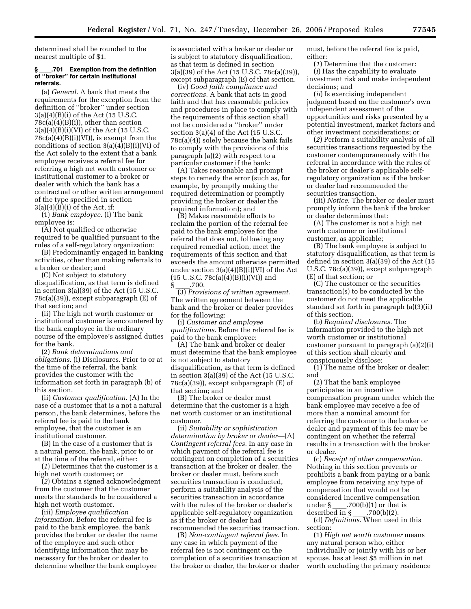determined shall be rounded to the nearest multiple of \$1.

# § \_\_\_.701 Exemption from the definition<br>of "broker" for certain institutional **referrals.**

(a) *General.* A bank that meets the requirements for the exception from the definition of ''broker'' under section 3(a)(4)(B)(i) of the Act (15 U.S.C. 78c(a)(4)(B)(i)), other than section 3(a)(4)(B)(i)(VI) of the Act (15 U.S.C.  $78c(a)(4)(B)(i)(V1)$ , is exempt from the conditions of section  $3(a)(4)(B)(i)(VI)$  of the Act solely to the extent that a bank employee receives a referral fee for referring a high net worth customer or institutional customer to a broker or dealer with which the bank has a contractual or other written arrangement of the type specified in section  $3(a)(4)(B)(i)$  of the Act, if:

(1) *Bank employee*. (i) The bank employee is:

(A) Not qualified or otherwise required to be qualified pursuant to the rules of a self-regulatory organization;

(B) Predominantly engaged in banking activities, other than making referrals to a broker or dealer; and

(C) Not subject to statutory disqualification, as that term is defined in section 3(a)(39) of the Act (15 U.S.C. 78c(a)(39)), except subparagraph (E) of that section; and

(ii) The high net worth customer or institutional customer is encountered by the bank employee in the ordinary course of the employee's assigned duties for the bank.

(2) *Bank determinations and obligations.* (i) Disclosures. Prior to or at the time of the referral, the bank provides the customer with the information set forth in paragraph (b) of this section.

(ii) *Customer qualification.* (A) In the case of a customer that is a not a natural person, the bank determines, before the referral fee is paid to the bank employee, that the customer is an institutional customer.

(B) In the case of a customer that is a natural person, the bank, prior to or at the time of the referral, either:

(*1*) Determines that the customer is a high net worth customer; or

(*2*) Obtains a signed acknowledgment from the customer that the customer meets the standards to be considered a high net worth customer.

(iii) *Employee qualification information.* Before the referral fee is paid to the bank employee, the bank provides the broker or dealer the name of the employee and such other identifying information that may be necessary for the broker or dealer to determine whether the bank employee

is associated with a broker or dealer or is subject to statutory disqualification, as that term is defined in section 3(a)(39) of the Act (15 U.S.C. 78c(a)(39)), except subparagraph (E) of that section.

(iv) *Good faith compliance and corrections.* A bank that acts in good faith and that has reasonable policies and procedures in place to comply with the requirements of this section shall not be considered a ''broker'' under section 3(a)(4) of the Act (15 U.S.C. 78c(a)(4)) solely because the bank fails to comply with the provisions of this paragraph (a)(2) with respect to a particular customer if the bank:

(A) Takes reasonable and prompt steps to remedy the error (such as, for example, by promptly making the required determination or promptly providing the broker or dealer the required information); and

(B) Makes reasonable efforts to reclaim the portion of the referral fee paid to the bank employee for the referral that does not, following any required remedial action, meet the requirements of this section and that exceeds the amount otherwise permitted under section 3(a)(4)(B)(i)(VI) of the Act  $(15 \text{ U.S.C. } 78c(a)(4)(B)(i)(VI))$  and

§ \_\_\_\_.700.<br>(3) *Provisions of written agreement.* The written agreement between the bank and the broker or dealer provides for the following:

(i) *Customer and employee qualifications.* Before the referral fee is paid to the bank employee:

(A) The bank and broker or dealer must determine that the bank employee is not subject to statutory disqualification, as that term is defined in section 3(a)(39) of the Act (15 U.S.C. 78c(a)(39)), except subparagraph (E) of that section; and

(B) The broker or dealer must determine that the customer is a high net worth customer or an institutional customer.

(ii) *Suitability or sophistication determination by broker or dealer*—(A) *Contingent referral fees.* In any case in which payment of the referral fee is contingent on completion of a securities transaction at the broker or dealer, the broker or dealer must, before such securities transaction is conducted, perform a suitability analysis of the securities transaction in accordance with the rules of the broker or dealer's applicable self-regulatory organization as if the broker or dealer had recommended the securities transaction.

(B) *Non-contingent referral fees.* In any case in which payment of the referral fee is not contingent on the completion of a securities transaction at the broker or dealer, the broker or dealer must, before the referral fee is paid, either:

(*1*) Determine that the customer: (*i*) Has the capability to evaluate investment risk and make independent decisions; and

(*ii*) Is exercising independent judgment based on the customer's own independent assessment of the opportunities and risks presented by a potential investment, market factors and other investment considerations; or

(*2*) Perform a suitability analysis of all securities transactions requested by the customer contemporaneously with the referral in accordance with the rules of the broker or dealer's applicable selfregulatory organization as if the broker or dealer had recommended the securities transaction.

(iii) *Notice.* The broker or dealer must promptly inform the bank if the broker or dealer determines that:

(A) The customer is not a high net worth customer or institutional customer, as applicable;

(B) The bank employee is subject to statutory disqualification, as that term is defined in section 3(a)(39) of the Act (15 U.S.C. 78c(a)(39)), except subparagraph (E) of that section; or

(C) The customer or the securities transaction(s) to be conducted by the customer do not meet the applicable standard set forth in paragraph (a)(3)(ii) of this section.

(b) *Required disclosures.* The information provided to the high net worth customer or institutional customer pursuant to paragraph (a)(2)(i) of this section shall clearly and conspicuously disclose:

(1) The name of the broker or dealer; and

(2) That the bank employee participates in an incentive compensation program under which the bank employee may receive a fee of more than a nominal amount for referring the customer to the broker or dealer and payment of this fee may be contingent on whether the referral results in a transaction with the broker or dealer.

(c) *Receipt of other compensation.*  Nothing in this section prevents or prohibits a bank from paying or a bank employee from receiving any type of compensation that would not be considered incentive compensation under  $\S$  .700(b)(1) or that is<br>described in  $\S$  .700(b)(2). described in §<sub>\_\_\_\_</sub>.700(b)(2).<br>(d) *Definitions.* When used in this

section:

(1) *High net worth customer* means any natural person who, either individually or jointly with his or her spouse, has at least \$5 million in net worth excluding the primary residence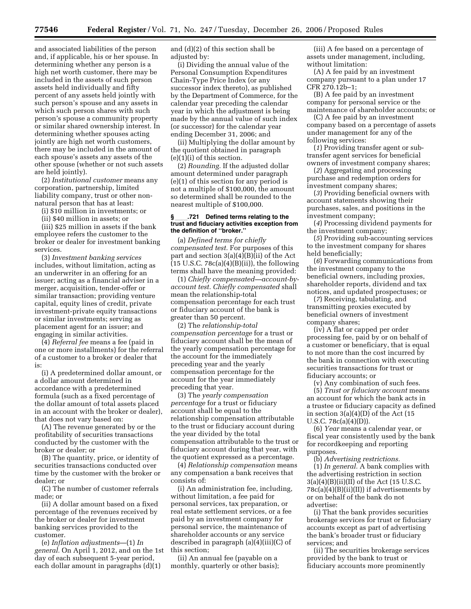and associated liabilities of the person and, if applicable, his or her spouse. In determining whether any person is a high net worth customer, there may be included in the assets of such person assets held individually and fifty percent of any assets held jointly with such person's spouse and any assets in which such person shares with such person's spouse a community property or similar shared ownership interest. In determining whether spouses acting jointly are high net worth customers, there may be included in the amount of each spouse's assets any assets of the other spouse (whether or not such assets are held jointly).

(2) *Institutional customer* means any corporation, partnership, limited liability company, trust or other nonnatural person that has at least:

(i) \$10 million in investments; or

(ii) \$40 million in assets; or

(iii) \$25 million in assets if the bank employee refers the customer to the broker or dealer for investment banking services.

(3) *Investment banking services*  includes, without limitation, acting as an underwriter in an offering for an issuer; acting as a financial adviser in a merger, acquisition, tender-offer or similar transaction; providing venture capital, equity lines of credit, private investment-private equity transactions or similar investments; serving as placement agent for an issuer; and engaging in similar activities.

(4) *Referral fee* means a fee (paid in one or more installments) for the referral of a customer to a broker or dealer that is:

(i) A predetermined dollar amount, or a dollar amount determined in accordance with a predetermined formula (such as a fixed percentage of the dollar amount of total assets placed in an account with the broker or dealer), that does not vary based on:

(A) The revenue generated by or the profitability of securities transactions conducted by the customer with the broker or dealer; or

(B) The quantity, price, or identity of securities transactions conducted over time by the customer with the broker or dealer; or

(C) The number of customer referrals made; or

(ii) A dollar amount based on a fixed percentage of the revenues received by the broker or dealer for investment banking services provided to the customer.

(e) *Inflation adjustments*—(1) *In general.* On April 1, 2012, and on the 1st day of each subsequent 5-year period, each dollar amount in paragraphs (d)(1)

and (d)(2) of this section shall be adjusted by:

(i) Dividing the annual value of the Personal Consumption Expenditures Chain-Type Price Index (or any successor index thereto), as published by the Department of Commerce, for the calendar year preceding the calendar year in which the adjustment is being made by the annual value of such index (or successor) for the calendar year ending December 31, 2006; and

(ii) Multiplying the dollar amount by the quotient obtained in paragraph  $(e)(1)(i)$  of this section.

(2) *Rounding.* If the adjusted dollar amount determined under paragraph (e)(1) of this section for any period is not a multiple of \$100,000, the amount so determined shall be rounded to the nearest multiple of \$100,000.

# **§**ll**.721 Defined terms relating to the trust and fiduciary activities exception from the definition of ''broker.''**

(a) *Defined terms for chiefly compensated test.* For purposes of this part and section 3(a)(4)(B)(ii) of the Act  $(15 \text{ U.S.C. } 78c(a)(4)(B)(ii))$ , the following terms shall have the meaning provided:

(1) *Chiefly compensated—account-byaccount test. Chiefly compensated* shall mean the relationship-total compensation percentage for each trust or fiduciary account of the bank is greater than 50 percent.

(2) The *relationship-total compensation percentage* for a trust or fiduciary account shall be the mean of the yearly compensation percentage for the account for the immediately preceding year and the yearly compensation percentage for the account for the year immediately preceding that year.

(3) The *yearly compensation percentage* for a trust or fiduciary account shall be equal to the relationship compensation attributable to the trust or fiduciary account during the year divided by the total compensation attributable to the trust or fiduciary account during that year, with the quotient expressed as a percentage.

(4) *Relationship compensation* means any compensation a bank receives that consists of:

(i) An administration fee, including, without limitation, a fee paid for personal services, tax preparation, or real estate settlement services, or a fee paid by an investment company for personal service, the maintenance of shareholder accounts or any service described in paragraph (a)(4)(iii)(C) of this section;

(ii) An annual fee (payable on a monthly, quarterly or other basis);

(iii) A fee based on a percentage of assets under management, including, without limitation:

(A) A fee paid by an investment company pursuant to a plan under 17 CFR 270.12b–1;

(B) A fee paid by an investment company for personal service or the maintenance of shareholder accounts; or

(C) A fee paid by an investment company based on a percentage of assets under management for any of the following services:

(*1*) Providing transfer agent or subtransfer agent services for beneficial owners of investment company shares;

(*2*) Aggregating and processing purchase and redemption orders for investment company shares;

(*3*) Providing beneficial owners with account statements showing their purchases, sales, and positions in the investment company;

(*4*) Processing dividend payments for the investment company;

(*5*) Providing sub-accounting services to the investment company for shares held beneficially;

(*6*) Forwarding communications from the investment company to the beneficial owners, including proxies, shareholder reports, dividend and tax notices, and updated prospectuses; or

(*7*) Receiving, tabulating, and transmitting proxies executed by beneficial owners of investment company shares;

(iv) A flat or capped per order processing fee, paid by or on behalf of a customer or beneficiary, that is equal to not more than the cost incurred by the bank in connection with executing securities transactions for trust or fiduciary accounts; or

(v) Any combination of such fees.

(5) *Trust or fiduciary account* means an account for which the bank acts in a trustee or fiduciary capacity as defined in section  $3(a)(4)(D)$  of the Act (15 U.S.C. 78c(a)(4)(D)).

(6) *Year* means a calendar year, or fiscal year consistently used by the bank for recordkeeping and reporting purposes.

(b) *Advertising restrictions.*  (1) *In general.* A bank complies with the advertising restriction in section  $3(a)(4)(B)(ii)(II)$  of the Act (15 U.S.C.  $78c(a)(4)(B)(ii)(II)$  if advertisements by or on behalf of the bank do not advertise:

(i) That the bank provides securities brokerage services for trust or fiduciary accounts except as part of advertising the bank's broader trust or fiduciary services; and

(ii) The securities brokerage services provided by the bank to trust or fiduciary accounts more prominently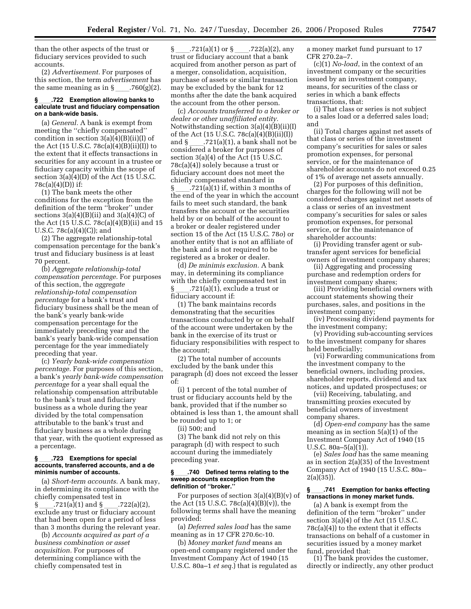than the other aspects of the trust or fiduciary services provided to such accounts.

(2) *Advertisement.* For purposes of this section, the term *advertisement* has the same meaning as in  $\S$  \_\_\_\_.760(g)(2).<br>S .722 Exemption allowing banks to

# § \_\_\_.722 Exemption allowing banks to<br>calculate trust and fiduciary compensation **on a bank-wide basis.**

(a) *General.* A bank is exempt from meeting the ''chiefly compensated'' condition in section  $3(a)(4)(B)(ii)(I)$  of the Act (15 U.S.C. 78 $c(a)(4)(B)(ii)(I)$ ) to the extent that it effects transactions in securities for any account in a trustee or fiduciary capacity within the scope of section 3(a)(4)(D) of the Act (15 U.S.C.  $78c(a)(4)(D)$  if:

(1) The bank meets the other conditions for the exception from the definition of the term ''broker'' under sections  $3(a)(4)(B)(ii)$  and  $3(a)(4)(C)$  of the Act (15 U.S.C. 78c(a)(4)(B)(ii) and 15 U.S.C. 78c(a)(4)(C)); and

(2) The aggregate relationship-total compensation percentage for the bank's trust and fiduciary business is at least 70 percent.

(b) *Aggregate relationship-total compensation percentage.* For purposes of this section, the *aggregate relationship-total compensation percentage* for a bank's trust and fiduciary business shall be the mean of the bank's yearly bank-wide compensation percentage for the immediately preceding year and the bank's yearly bank-wide compensation percentage for the year immediately preceding that year.

(c) *Yearly bank-wide compensation percentage.* For purposes of this section, a bank's *yearly bank-wide compensation percentage* for a year shall equal the relationship compensation attributable to the bank's trust and fiduciary business as a whole during the year divided by the total compensation attributable to the bank's trust and fiduciary business as a whole during that year, with the quotient expressed as a percentage.

#### **§**ll**.723 Exemptions for special accounts, transferred accounts, and a de minimis number of accounts.**

(a) *Short-term accounts.* A bank may, in determining its compliance with the chiefly compensated test in § \_\_\_\_.721(a)(1) and § \_\_\_\_.722(a)(2),<br>exclude any trust or fiduciary account that had been open for a period of less than 3 months during the relevant year.

(b) *Accounts acquired as part of a business combination or asset acquisition.* For purposes of determining compliance with the chiefly compensated test in

§ \_\_\_\_.721(a)(1) or § \_\_\_\_.722(a)(2), any<br>trust or fiduciary account that a bank acquired from another person as part of a merger, consolidation, acquisition, purchase of assets or similar transaction may be excluded by the bank for 12 months after the date the bank acquired the account from the other person.

(c) *Accounts transferred to a broker or dealer or other unaffiliated entity.*  Notwithstanding section 3(a)(4)(B)(ii)(I) of the Act (15 U.S.C. 78c(a)(4)(B)(ii)(I)) and  $\S$  .721(a)(1), a bank shall not be considered a broker for purposes of section 3(a)(4) of the Act (15 U.S.C. 78c(a)(4)) solely because a trust or fiduciary account does not meet the chiefly compensated standard in

§ ll.721(a)(1) if, within 3 months of the end of the year in which the account fails to meet such standard, the bank transfers the account or the securities held by or on behalf of the account to a broker or dealer registered under section 15 of the Act (15 U.S.C. 78*o*) or another entity that is not an affiliate of the bank and is not required to be registered as a broker or dealer.

(d) *De minimis exclusion.* A bank may, in determining its compliance with the chiefly compensated test in  $\S$  .721(a)(1), exclude a trust or fiduciary account if:

(1) The bank maintains records demonstrating that the securities transactions conducted by or on behalf of the account were undertaken by the bank in the exercise of its trust or fiduciary responsibilities with respect to the account;

(2) The total number of accounts excluded by the bank under this paragraph (d) does not exceed the lesser of:

(i) 1 percent of the total number of trust or fiduciary accounts held by the bank, provided that if the number so obtained is less than 1, the amount shall be rounded up to 1; or

(ii) 500; and

(3) The bank did not rely on this paragraph (d) with respect to such account during the immediately preceding year.

#### **§**ll**.740 Defined terms relating to the sweep accounts exception from the definition of ''broker.''**

For purposes of section 3(a)(4)(B)(v) of the Act (15 U.S.C. 78 $c(a)(4)(B)(v)$ ), the following terms shall have the meaning provided:

(a) *Deferred sales load* has the same meaning as in 17 CFR 270.6c-10.

(b) *Money market fund* means an open-end company registered under the Investment Company Act of 1940 (15 U.S.C. 80a–1 *et seq.*) that is regulated as a money market fund pursuant to 17 CFR 270.2a–7.

(c)(1) *No-load*, in the context of an investment company or the securities issued by an investment company, means, for securities of the class or series in which a bank effects transactions, that:

(i) That class or series is not subject to a sales load or a deferred sales load; and

(ii) Total charges against net assets of that class or series of the investment company's securities for sales or sales promotion expenses, for personal service, or for the maintenance of shareholder accounts do not exceed 0.25 of 1% of average net assets annually.

(2) For purposes of this definition, charges for the following will not be considered charges against net assets of a class or series of an investment company's securities for sales or sales promotion expenses, for personal service, or for the maintenance of shareholder accounts:

(i) Providing transfer agent or subtransfer agent services for beneficial owners of investment company shares;

(ii) Aggregating and processing purchase and redemption orders for investment company shares;

(iii) Providing beneficial owners with account statements showing their purchases, sales, and positions in the investment company;

(iv) Processing dividend payments for the investment company;

(v) Providing sub-accounting services to the investment company for shares held beneficially;

(vi) Forwarding communications from the investment company to the beneficial owners, including proxies, shareholder reports, dividend and tax notices, and updated prospectuses; or

(vii) Receiving, tabulating, and transmitting proxies executed by beneficial owners of investment company shares.

(d) *Open-end company* has the same meaning as in section 5(a)(1) of the Investment Company Act of 1940 (15 U.S.C. 80a–5(a)(1)).

(e) *Sales load* has the same meaning as in section 2(a)(35) of the Investment Company Act of 1940 (15 U.S.C. 80a– 2(a)(35)).

## **§**ll**.741 Exemption for banks effecting transactions in money market funds.**

(a) A bank is exempt from the definition of the term ''broker'' under section 3(a)(4) of the Act (15 U.S.C. 78c(a)(4)) to the extent that it effects transactions on behalf of a customer in securities issued by a money market fund, provided that:

(1) The bank provides the customer, directly or indirectly, any other product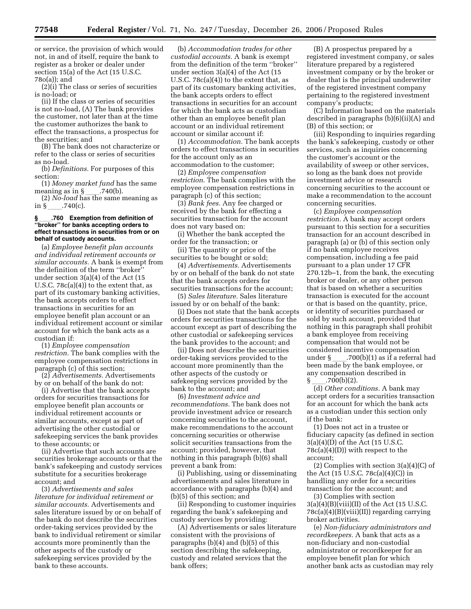or service, the provision of which would not, in and of itself, require the bank to register as a broker or dealer under section 15(a) of the Act (15 U.S.C. 78o(a)); and

(2)(i) The class or series of securities is no-load; or

(ii) If the class or series of securities is not no-load, (A) The bank provides the customer, not later than at the time the customer authorizes the bank to effect the transactions, a prospectus for the securities; and

(B) The bank does not characterize or refer to the class or series of securities as no-load.

(b) *Definitions.* For purposes of this section:

(1) *Money market fund* has the same

meaning as in §\_\_\_\_.740(b).<br>(2) *No-load* has the same meaning as in  $\S$  \_\_\_\_.740(c).<br>§ 3.760 Exemption from definition of

# **§**ll**.760 Exemption from definition of ''broker'' for banks accepting orders to effect transactions in securities from or on behalf of custody accounts.**

(a) *Employee benefit plan accounts and individual retirement accounts or similar accounts.* A bank is exempt from the definition of the term ''broker'' under section 3(a)(4) of the Act (15 U.S.C. 78c(a)(4)) to the extent that, as part of its customary banking activities, the bank accepts orders to effect transactions in securities for an employee benefit plan account or an individual retirement account or similar account for which the bank acts as a custodian if:

(1) *Employee compensation restriction.* The bank complies with the employee compensation restrictions in paragraph (c) of this section;

(2) *Advertisements.* Advertisements by or on behalf of the bank do not:

(i) Advertise that the bank accepts orders for securities transactions for employee benefit plan accounts or individual retirement accounts or similar accounts, except as part of advertising the other custodial or safekeeping services the bank provides to these accounts; or

(ii) Advertise that such accounts are securities brokerage accounts or that the bank's safekeeping and custody services substitute for a securities brokerage account; and

(3) *Advertisements and sales literature for individual retirement or similar accounts.* Advertisements and sales literature issued by or on behalf of the bank do not describe the securities order-taking services provided by the bank to individual retirement or similar accounts more prominently than the other aspects of the custody or safekeeping services provided by the bank to these accounts.

(b) *Accommodation trades for other custodial accounts.* A bank is exempt from the definition of the term ''broker'' under section 3(a)(4) of the Act (15 U.S.C. 78c(a)(4)) to the extent that, as part of its customary banking activities, the bank accepts orders to effect transactions in securities for an account for which the bank acts as custodian other than an employee benefit plan account or an individual retirement account or similar account if:

(1) *Accommodation.* The bank accepts orders to effect transactions in securities for the account only as an accommodation to the customer;

(2) *Employee compensation restriction*. The bank complies with the employee compensation restrictions in paragraph (c) of this section;

(3) *Bank fees.* Any fee charged or received by the bank for effecting a securities transaction for the account does not vary based on:

(i) Whether the bank accepted the order for the transaction; or

(ii) The quantity or price of the securities to be bought or sold;

(4) *Advertisements.* Advertisements by or on behalf of the bank do not state that the bank accepts orders for securities transactions for the account;

(5) *Sales literature.* Sales literature issued by or on behalf of the bank:

(i) Does not state that the bank accepts orders for securities transactions for the account except as part of describing the other custodial or safekeeping services the bank provides to the account; and

(ii) Does not describe the securities order-taking services provided to the account more prominently than the other aspects of the custody or safekeeping services provided by the bank to the account; and

(6) *Investment advice and recommendations.* The bank does not provide investment advice or research concerning securities to the account, make recommendations to the account concerning securities or otherwise solicit securities transactions from the account; provided, however, that nothing in this paragraph (b)(6) shall prevent a bank from:

(i) Publishing, using or disseminating advertisements and sales literature in accordance with paragraphs (b)(4) and (b)(5) of this section; and

(ii) Responding to customer inquiries regarding the bank's safekeeping and custody services by providing:

(A) Advertisements or sales literature consistent with the provisions of paragraphs (b)(4) and (b)(5) of this section describing the safekeeping, custody and related services that the bank offers;

(B) A prospectus prepared by a registered investment company, or sales literature prepared by a registered investment company or by the broker or dealer that is the principal underwriter of the registered investment company pertaining to the registered investment company's products;

(C) Information based on the materials described in paragraphs (b)(6)(ii)(A) and (B) of this section; or

(iii) Responding to inquiries regarding the bank's safekeeping, custody or other services, such as inquiries concerning the customer's account or the availability of sweep or other services, so long as the bank does not provide investment advice or research concerning securities to the account or make a recommendation to the account concerning securities.

(c) *Employee compensation restriction.* A bank may accept orders pursuant to this section for a securities transaction for an account described in paragraph (a) or (b) of this section only if no bank employee receives compensation, including a fee paid pursuant to a plan under 17 CFR 270.12b–1, from the bank, the executing broker or dealer, or any other person that is based on whether a securities transaction is executed for the account or that is based on the quantity, price, or identity of securities purchased or sold by such account, provided that nothing in this paragraph shall prohibit a bank employee from receiving compensation that would not be considered incentive compensation under § \_\_\_\_.700(b)(1) as if a referral had<br>been made by the bank employee, or any compensation described in  $\S$  \_\_\_\_\_.700(b)(2).

(d) *Other conditions.* A bank may accept orders for a securities transaction for an account for which the bank acts as a custodian under this section only if the bank:

(1) Does not act in a trustee or fiduciary capacity (as defined in section 3(a)(4)(D) of the Act (15 U.S.C. 78c(a)(4)(D)) with respect to the account;

(2) Complies with section 3(a)(4)(C) of the Act (15 U.S.C. 78c(a)(4)(C)) in handling any order for a securities transaction for the account; and

(3) Complies with section  $3(a)(4)(B)(viii)(II)$  of the Act (15 U.S.C. 78c(a)(4)(B)(viii)(II)) regarding carrying broker activities.

(e) *Non-fiduciary administrators and recordkeepers.* A bank that acts as a non-fiduciary and non-custodial administrator or recordkeeper for an employee benefit plan for which another bank acts as custodian may rely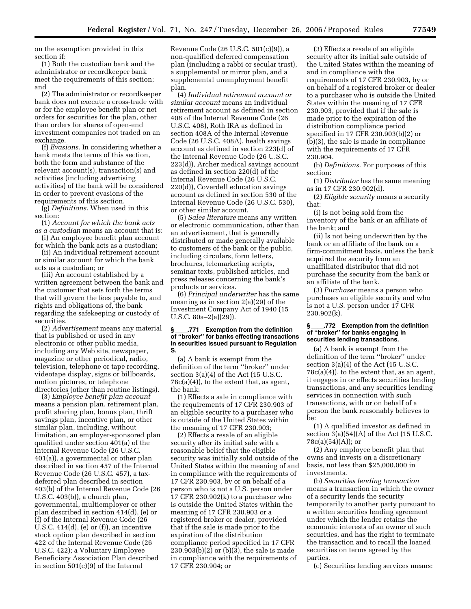on the exemption provided in this section if:

(1) Both the custodian bank and the administrator or recordkeeper bank meet the requirements of this section; and

(2) The administrator or recordkeeper bank does not execute a cross-trade with or for the employee benefit plan or net orders for securities for the plan, other than orders for shares of open-end investment companies not traded on an exchange.

(f) *Evasions.* In considering whether a bank meets the terms of this section, both the form and substance of the relevant account(s), transaction(s) and activities (including advertising activities) of the bank will be considered in order to prevent evasions of the requirements of this section.

(g) *Definitions.* When used in this section:

(1) *Account for which the bank acts as a custodian* means an account that is:

(i) An employee benefit plan account for which the bank acts as a custodian;

(ii) An individual retirement account or similar account for which the bank acts as a custodian; or

(iii) An account established by a written agreement between the bank and the customer that sets forth the terms that will govern the fees payable to, and rights and obligations of, the bank regarding the safekeeping or custody of securities.

(2) *Advertisement* means any material that is published or used in any electronic or other public media, including any Web site, newspaper, magazine or other periodical, radio, television, telephone or tape recording, videotape display, signs or billboards, motion pictures, or telephone directories (other than routine listings).

(3) *Employee benefit plan account*  means a pension plan, retirement plan, profit sharing plan, bonus plan, thrift savings plan, incentive plan, or other similar plan, including, without limitation, an employer-sponsored plan qualified under section 401(a) of the Internal Revenue Code (26 U.S.C. 401(a)), a governmental or other plan described in section 457 of the Internal Revenue Code (26 U.S.C. 457), a taxdeferred plan described in section 403(b) of the Internal Revenue Code (26 U.S.C. 403(b)), a church plan, governmental, multiemployer or other plan described in section 414(d), (e) or (f) of the Internal Revenue Code (26 U.S.C. 414(d), (e) or (f)), an incentive stock option plan described in section 422 of the Internal Revenue Code (26 U.S.C. 422); a Voluntary Employee Beneficiary Association Plan described in section 501(c)(9) of the Internal

Revenue Code (26 U.S.C. 501(c)(9)), a non-qualified deferred compensation plan (including a rabbi or secular trust), a supplemental or mirror plan, and a supplemental unemployment benefit plan.

(4) *Individual retirement account or similar account* means an individual retirement account as defined in section 408 of the Internal Revenue Code (26 U.S.C. 408), Roth IRA as defined in section 408A of the Internal Revenue Code (26 U.S.C. 408A), health savings account as defined in section 223(d) of the Internal Revenue Code (26 U.S.C. 223(d)), Archer medical savings account as defined in section 220(d) of the Internal Revenue Code (26 U.S.C. 220(d)), Coverdell education savings account as defined in section 530 of the Internal Revenue Code (26 U.S.C. 530), or other similar account.

(5) *Sales literature* means any written or electronic communication, other than an advertisement, that is generally distributed or made generally available to customers of the bank or the public, including circulars, form letters, brochures, telemarketing scripts, seminar texts, published articles, and press releases concerning the bank's products or services.

(6) *Principal underwriter* has the same meaning as in section 2(a)(29) of the Investment Company Act of 1940 (15 U.S.C. 80a–2(a)(29)).

# **§**ll**.771 Exemption from the definition of ''broker'' for banks effecting transactions in securities issued pursuant to Regulation S.**

(a) A bank is exempt from the definition of the term ''broker'' under section 3(a)(4) of the Act (15 U.S.C. 78c(a)(4)), to the extent that, as agent, the bank:

(1) Effects a sale in compliance with the requirements of 17 CFR 230.903 of an eligible security to a purchaser who is outside of the United States within the meaning of 17 CFR 230.903;

(2) Effects a resale of an eligible security after its initial sale with a reasonable belief that the eligible security was initially sold outside of the United States within the meaning of and in compliance with the requirements of 17 CFR 230.903, by or on behalf of a person who is not a U.S. person under 17 CFR 230.902(k) to a purchaser who is outside the United States within the meaning of 17 CFR 230.903 or a registered broker or dealer, provided that if the sale is made prior to the expiration of the distribution compliance period specified in 17 CFR  $230.903(b)(2)$  or  $(b)(3)$ , the sale is made in compliance with the requirements of 17 CFR 230.904; or

(3) Effects a resale of an eligible security after its initial sale outside of the United States within the meaning of and in compliance with the requirements of 17 CFR 230.903, by or on behalf of a registered broker or dealer to a purchaser who is outside the United States within the meaning of 17 CFR 230.903, provided that if the sale is made prior to the expiration of the distribution compliance period specified in 17 CFR 230.903(b)(2) or (b)(3), the sale is made in compliance with the requirements of 17 CFR 230.904.

(b) *Definitions.* For purposes of this section:

(1) *Distributor* has the same meaning as in 17 CFR 230.902(d).

(2) *Eligible security* means a security that:

(i) Is not being sold from the inventory of the bank or an affiliate of the bank; and

(ii) Is not being underwritten by the bank or an affiliate of the bank on a firm-commitment basis, unless the bank acquired the security from an unaffiliated distributor that did not purchase the security from the bank or an affiliate of the bank.

(3) *Purchaser* means a person who purchases an eligible security and who is not a U.S. person under 17 CFR 230.902(k).

#### **§**ll**.772 Exemption from the definition of ''broker'' for banks engaging in securities lending transactions.**

(a) A bank is exempt from the definition of the term ''broker'' under section 3(a)(4) of the Act (15 U.S.C. 78c(a)(4)), to the extent that, as an agent, it engages in or effects securities lending transactions, and any securities lending services in connection with such transactions, with or on behalf of a person the bank reasonably believes to be:

(1) A qualified investor as defined in section  $3(a)(54)(A)$  of the Act (15 U.S.C.  $78c(a)(54)(A)$ ; or

(2) Any employee benefit plan that owns and invests on a discretionary basis, not less than \$25,000,000 in investments.

(b) *Securities lending transaction*  means a transaction in which the owner of a security lends the security temporarily to another party pursuant to a written securities lending agreement under which the lender retains the economic interests of an owner of such securities, and has the right to terminate the transaction and to recall the loaned securities on terms agreed by the parties.

(c) Securities lending services means: